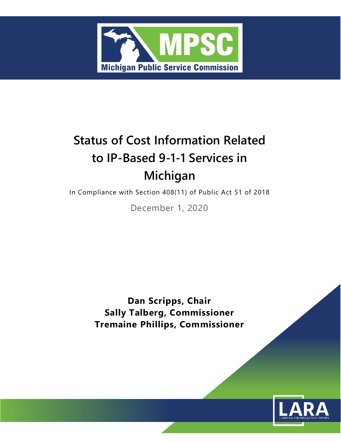

# **Status of Cost Information Related to IP-Based 9-1-1 Services in Michigan**

In Compliance with Section 408(11) of Public Act 51 of 2018

December 1, 2020

**Dan Scripps, Chair Sally Talberg, Commissioner Tremaine Phillips, Commissioner**

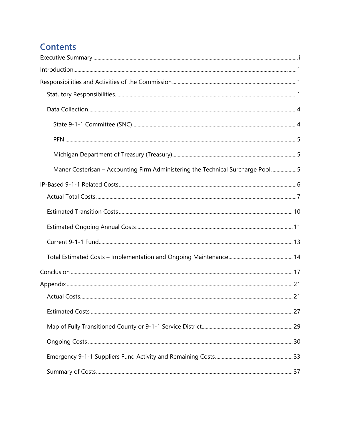# **Contents**

| Maner Costerisan - Accounting Firm Administering the Technical Surcharge Pool5 |  |
|--------------------------------------------------------------------------------|--|
|                                                                                |  |
|                                                                                |  |
|                                                                                |  |
|                                                                                |  |
|                                                                                |  |
|                                                                                |  |
|                                                                                |  |
|                                                                                |  |
|                                                                                |  |
|                                                                                |  |
|                                                                                |  |
|                                                                                |  |
|                                                                                |  |
|                                                                                |  |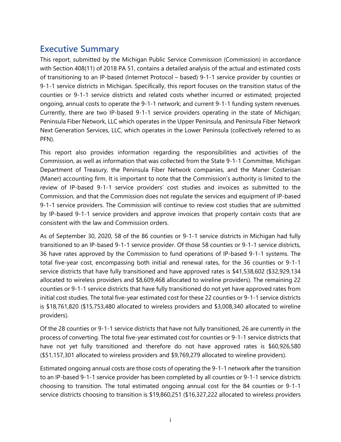# <span id="page-4-0"></span>**Executive Summary**

This report, submitted by the Michigan Public Service Commission (Commission) in accordance with Section 408(11) of 2018 PA 51, contains a detailed analysis of the actual and estimated costs of transitioning to an IP-based (Internet Protocol – based) 9-1-1 service provider by counties or 9-1-1 service districts in Michigan. Specifically, this report focuses on the transition status of the counties or 9-1-1 service districts and related costs whether incurred or estimated; projected ongoing, annual costs to operate the 9-1-1 network; and current 9-1-1 funding system revenues. Currently, there are two IP-based 9-1-1 service providers operating in the state of Michigan; Peninsula Fiber Network, LLC which operates in the Upper Peninsula, and Peninsula Fiber Network Next Generation Services, LLC, which operates in the Lower Peninsula (collectively referred to as PFN).

This report also provides information regarding the responsibilities and activities of the Commission, as well as information that was collected from the State 9-1-1 Committee, Michigan Department of Treasury, the Peninsula Fiber Network companies, and the Maner Costerisan (Maner) accounting firm. It is important to note that the Commission's authority is limited to the review of IP-based 9-1-1 service providers' cost studies and invoices as submitted to the Commission, and that the Commission does not regulate the services and equipment of IP-based 9-1-1 service providers. The Commission will continue to review cost studies that are submitted by IP-based 9-1-1 service providers and approve invoices that properly contain costs that are consistent with the law and Commission orders.

As of September 30, 2020, 58 of the 86 counties or 9-1-1 service districts in Michigan had fully transitioned to an IP-based 9-1-1 service provider. Of those 58 counties or 9-1-1 service districts, 36 have rates approved by the Commission to fund operations of IP-based 9-1-1 systems. The total five-year cost, encompassing both initial and renewal rates, for the 36 counties or 9-1-1 service districts that have fully transitioned and have approved rates is \$41,538,602 (\$32,929,134 allocated to wireless providers and \$8,609,468 allocated to wireline providers). The remaining 22 counties or 9-1-1 service districts that have fully transitioned do not yet have approved rates from initial cost studies. The total five-year estimated cost for these 22 counties or 9-1-1 service districts is \$18,761,820 (\$15,753,480 allocated to wireless providers and \$3,008,340 allocated to wireline providers).

Of the 28 counties or 9-1-1 service districts that have not fully transitioned, 26 are currently in the process of converting. The total five-year estimated cost for counties or 9-1-1 service districts that have not yet fully transitioned and therefore do not have approved rates is \$60,926,580 (\$51,157,301 allocated to wireless providers and \$9,769,279 allocated to wireline providers).

Estimated ongoing annual costs are those costs of operating the 9-1-1 network after the transition to an IP-based 9-1-1 service provider has been completed by all counties or 9-1-1 service districts choosing to transition. The total estimated ongoing annual cost for the 84 counties or 9-1-1 service districts choosing to transition is \$19,860,251 (\$16,327,222 allocated to wireless providers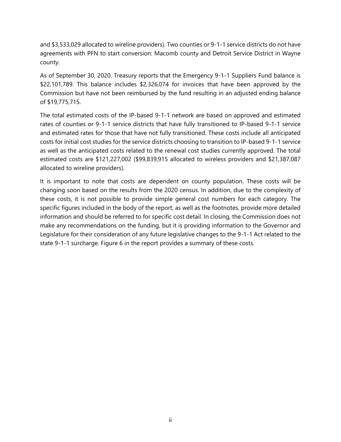and \$3,533,029 allocated to wireline providers). Two counties or 9-1-1 service districts do not have agreements with PFN to start conversion: Macomb county and Detroit Service District in Wayne county.

As of September 30, 2020, Treasury reports that the Emergency 9-1-1 Suppliers Fund balance is \$22,101,789. This balance includes \$2,326,074 for invoices that have been approved by the Commission but have not been reimbursed by the fund resulting in an adjusted ending balance of \$19,775,715.

The total estimated costs of the IP-based 9-1-1 network are based on approved and estimated rates of counties or 9-1-1 service districts that have fully transitioned to IP-based 9-1-1 service and estimated rates for those that have not fully transitioned. These costs include all anticipated costs for initial cost studies for the service districts choosing to transition to IP-based 9-1-1 service as well as the anticipated costs related to the renewal cost studies currently approved. The total estimated costs are \$121,227,002 (\$99,839,915 allocated to wireless providers and \$21,387,087 allocated to wireline providers).

It is important to note that costs are dependent on county population. These costs will be changing soon based on the results from the 2020 census. In addition, due to the complexity of these costs, it is not possible to provide simple general cost numbers for each category. The specific figures included in the body of the report, as well as the footnotes, provide more detailed information and should be referred to for specific cost detail. In closing, the Commission does not make any recommendations on the funding, but it is providing information to the Governor and Legislature for their consideration of any future legislative changes to the 9-1-1 Act related to the state 9-1-1 surcharge. Figure 6 in the report provides a summary of these costs.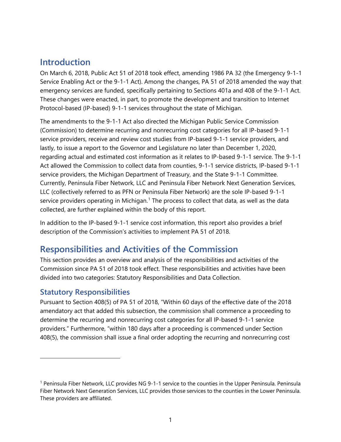# <span id="page-6-0"></span>**Introduction**

On March 6, 2018, Public Act 51 of 2018 took effect, amending 1986 PA 32 (the Emergency 9-1-1 Service Enabling Act or the 9-1-1 Act). Among the changes, PA 51 of 2018 amended the way that emergency services are funded, specifically pertaining to Sections 401a and 408 of the 9-1-1 Act. These changes were enacted, in part, to promote the development and transition to Internet Protocol-based (IP-based) 9-1-1 services throughout the state of Michigan.

The amendments to the 9-1-1 Act also directed the Michigan Public Service Commission (Commission) to determine recurring and nonrecurring cost categories for all IP-based 9-1-1 service providers, receive and review cost studies from IP-based 9-1-1 service providers, and lastly, to issue a report to the Governor and Legislature no later than December 1, 2020, regarding actual and estimated cost information as it relates to IP-based 9-1-1 service. The 9-1-1 Act allowed the Commission to collect data from counties, 9-1-1 service districts, IP-based 9-1-1 service providers, the Michigan Department of Treasury, and the State 9-1-1 Committee. Currently, Peninsula Fiber Network, LLC and Peninsula Fiber Network Next Generation Services, LLC (collectively referred to as PFN or Peninsula Fiber Network) are the sole IP-based 9-1-1 service providers operating in Michigan.<sup>[1](#page-6-3)</sup> The process to collect that data, as well as the data collected, are further explained within the body of this report.

In addition to the IP-based 9-1-1 service cost information, this report also provides a brief description of the Commission's activities to implement PA 51 of 2018.

# <span id="page-6-1"></span>**Responsibilities and Activities of the Commission**

This section provides an overview and analysis of the responsibilities and activities of the Commission since PA 51 of 2018 took effect. These responsibilities and activities have been divided into two categories: Statutory Responsibilities and Data Collection.

# <span id="page-6-2"></span>**Statutory Responsibilities**

Pursuant to Section 408(5) of PA 51 of 2018, "Within 60 days of the effective date of the 2018 amendatory act that added this subsection, the commission shall commence a proceeding to determine the recurring and nonrecurring cost categories for all IP-based 9-1-1 service providers." Furthermore, "within 180 days after a proceeding is commenced under Section 408(5), the commission shall issue a final order adopting the recurring and nonrecurring cost

<span id="page-6-3"></span><sup>1</sup> Peninsula Fiber Network, LLC provides NG 9-1-1 service to the counties in the Upper Peninsula. Peninsula Fiber Network Next Generation Services, LLC provides those services to the counties in the Lower Peninsula. These providers are affiliated.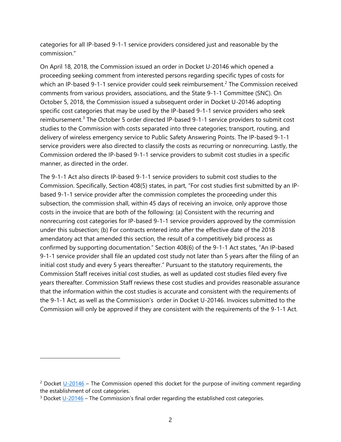categories for all IP-based 9-1-1 service providers considered just and reasonable by the commission."

On April 18, 2018, the Commission issued an order in Docket U-20146 which opened a proceeding seeking comment from interested persons regarding specific types of costs for which an IP-based 9-1-1 service provider could seek reimbursement.<sup>[2](#page-7-0)</sup> The Commission received comments from various providers, associations, and the State 9-1-1 Committee (SNC). On October 5, 2018, the Commission issued a subsequent order in Docket U-20146 adopting specific cost categories that may be used by the IP-based 9-1-1 service providers who seek reimbursement.<sup>[3](#page-7-1)</sup> The October 5 order directed IP-based 9-1-1 service providers to submit cost studies to the Commission with costs separated into three categories; transport, routing, and delivery of wireless emergency service to Public Safety Answering Points. The IP-based 9-1-1 service providers were also directed to classify the costs as recurring or nonrecurring. Lastly, the Commission ordered the IP-based 9-1-1 service providers to submit cost studies in a specific manner, as directed in the order.

The 9-1-1 Act also directs IP-based 9-1-1 service providers to submit cost studies to the Commission. Specifically, Section 408(5) states, in part, "For cost studies first submitted by an IPbased 9-1-1 service provider after the commission completes the proceeding under this subsection, the commission shall, within 45 days of receiving an invoice, only approve those costs in the invoice that are both of the following: (a) Consistent with the recurring and nonrecurring cost categories for IP-based 9-1-1 service providers approved by the commission under this subsection; (b) For contracts entered into after the effective date of the 2018 amendatory act that amended this section, the result of a competitively bid process as confirmed by supporting documentation." Section 408(6) of the 9-1-1 Act states, "An IP-based 9-1-1 service provider shall file an updated cost study not later than 5 years after the filing of an initial cost study and every 5 years thereafter." Pursuant to the statutory requirements, the Commission Staff receives initial cost studies, as well as updated cost studies filed every five years thereafter. Commission Staff reviews these cost studies and provides reasonable assurance that the information within the cost studies is accurate and consistent with the requirements of the 9-1-1 Act, as well as the Commission's order in Docket U-20146. Invoices submitted to the Commission will only be approved if they are consistent with the requirements of the 9-1-1 Act.

<span id="page-7-0"></span> $2$  Docket [U-20146](https://mi-psc.force.com/s/case/500t0000009gGg3AAE/in-the-matter-of-the-commissions-own-motion-to-implement-the-provisions-of-section-4085-of-2018-pa-51) – The Commission opened this docket for the purpose of inviting comment regarding the establishment of cost categories.

<span id="page-7-1"></span><sup>&</sup>lt;sup>3</sup> Docket [U-20146](https://mi-psc.force.com/sfc/servlet.shepherd/version/download/068t0000002zMqLAAU) – The Commission's final order regarding the established cost categories.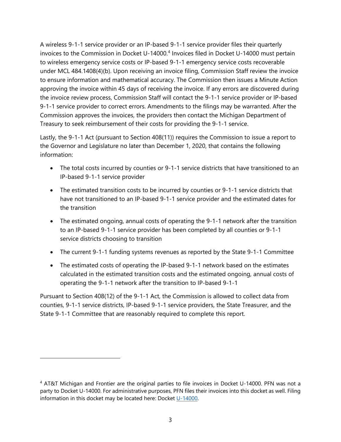A wireless 9-1-1 service provider or an IP-based 9-1-1 service provider files their quarterly invoices to the Commission in Docket U-1[4](#page-8-0)000.<sup>4</sup> Invoices filed in Docket U-14000 must pertain to wireless emergency service costs or IP-based 9-1-1 emergency service costs recoverable under MCL 484.1408(4)(b). Upon receiving an invoice filing, Commission Staff review the invoice to ensure information and mathematical accuracy. The Commission then issues a Minute Action approving the invoice within 45 days of receiving the invoice. If any errors are discovered during the invoice review process, Commission Staff will contact the 9-1-1 service provider or IP-based 9-1-1 service provider to correct errors. Amendments to the filings may be warranted. After the Commission approves the invoices, the providers then contact the Michigan Department of Treasury to seek reimbursement of their costs for providing the 9-1-1 service.

Lastly, the 9-1-1 Act (pursuant to Section 408(11)) requires the Commission to issue a report to the Governor and Legislature no later than December 1, 2020, that contains the following information:

- The total costs incurred by counties or 9-1-1 service districts that have transitioned to an IP-based 9-1-1 service provider
- The estimated transition costs to be incurred by counties or 9-1-1 service districts that have not transitioned to an IP-based 9-1-1 service provider and the estimated dates for the transition
- The estimated ongoing, annual costs of operating the 9-1-1 network after the transition to an IP-based 9-1-1 service provider has been completed by all counties or 9-1-1 service districts choosing to transition
- The current 9-1-1 funding systems revenues as reported by the State 9-1-1 Committee
- The estimated costs of operating the IP-based 9-1-1 network based on the estimates calculated in the estimated transition costs and the estimated ongoing, annual costs of operating the 9-1-1 network after the transition to IP-based 9-1-1

Pursuant to Section 408(12) of the 9-1-1 Act, the Commission is allowed to collect data from counties, 9-1-1 service districts, IP-based 9-1-1 service providers, the State Treasurer, and the State 9-1-1 Committee that are reasonably required to complete this report.

<span id="page-8-0"></span><sup>4</sup> AT&T Michigan and Frontier are the original parties to file invoices in Docket U-14000. PFN was not a party to Docket U-14000. For administrative purposes, PFN files their invoices into this docket as well. Filing information in this docket may be located here: Docket [U-14000.](https://mi-psc.force.com/s/case/500t0000008eetzAAA/in-the-matter-on-the-commissions-own-motion-to-commence-a-contested-case-as-required-by-2003-pa-244-to-establish-the-costs-that-local-exchange-providers-may-recover-related-to-compliance-with-the-wireless-emergency-service-order)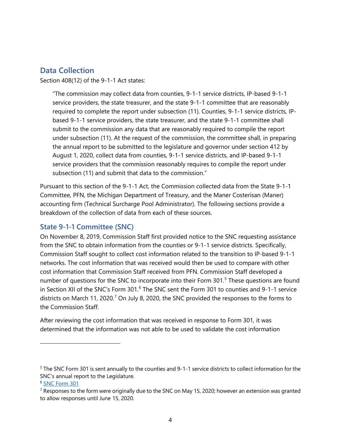### <span id="page-9-0"></span>**Data Collection**

Section 408(12) of the 9-1-1 Act states:

"The commission may collect data from counties, 9-1-1 service districts, IP-based 9-1-1 service providers, the state treasurer, and the state 9-1-1 committee that are reasonably required to complete the report under subsection (11). Counties, 9-1-1 service districts, IPbased 9-1-1 service providers, the state treasurer, and the state 9-1-1 committee shall submit to the commission any data that are reasonably required to compile the report under subsection (11). At the request of the commission, the committee shall, in preparing the annual report to be submitted to the legislature and governor under section 412 by August 1, 2020, collect data from counties, 9-1-1 service districts, and IP-based 9-1-1 service providers that the commission reasonably requires to compile the report under subsection (11) and submit that data to the commission."

Pursuant to this section of the 9-1-1 Act, the Commission collected data from the State 9-1-1 Committee, PFN, the Michigan Department of Treasury, and the Maner Costerisan (Maner) accounting firm (Technical Surcharge Pool Administrator). The following sections provide a breakdown of the collection of data from each of these sources.

#### <span id="page-9-1"></span>**State 9-1-1 Committee (SNC)**

On November 8, 2019, Commission Staff first provided notice to the SNC requesting assistance from the SNC to obtain information from the counties or 9-1-1 service districts. Specifically, Commission Staff sought to collect cost information related to the transition to IP-based 9-1-1 networks. The cost information that was received would then be used to compare with other cost information that Commission Staff received from PFN. Commission Staff developed a number of questions for the SNC to incorporate into their Form 301.<sup>[5](#page-9-2)</sup> These questions are found in Section XII of the SNC's Form 301.<sup>[6](#page-9-3)</sup> The SNC sent the Form 301 to counties and 9-1-1 service districts on March 11, 2020.<sup>[7](#page-9-4)</sup> On July 8, 2020, the SNC provided the responses to the forms to the Commission Staff.

After reviewing the cost information that was received in response to Form 301, it was determined that the information was not able to be used to validate the cost information

<span id="page-9-2"></span><sup>5</sup> The SNC Form 301 is sent annually to the counties and 9-1-1 service districts to collect information for the SNC's annual report to the Legislature.

<span id="page-9-3"></span><sup>6</sup> [SNC Form 301](https://www.michigan.gov/documents/msp/2b1.2020_SNC-301_Instructions_and_Form_Fillable_683573_7.pdf)

<span id="page-9-4"></span><sup>&</sup>lt;sup>7</sup> Responses to the form were originally due to the SNC on May 15, 2020; however an extension was granted to allow responses until June 15, 2020.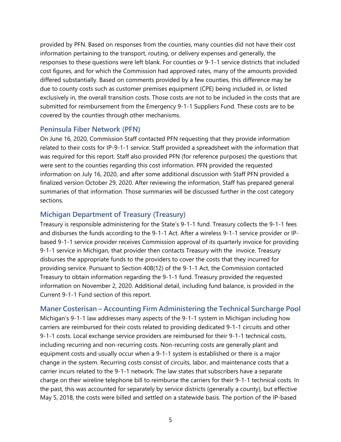provided by PFN. Based on responses from the counties, many counties did not have their cost information pertaining to the transport, routing, or delivery expenses and generally, the responses to these questions were left blank. For counties or 9-1-1 service districts that included cost figures, and for which the Commission had approved rates, many of the amounts provided differed substantially. Based on comments provided by a few counties, this difference may be due to county costs such as customer premises equipment (CPE) being included in, or listed exclusively in, the overall transition costs. Those costs are not to be included in the costs that are submitted for reimbursement from the Emergency 9-1-1 Suppliers Fund. These costs are to be covered by the counties through other mechanisms.

#### <span id="page-10-0"></span>**Peninsula Fiber Network (PFN)**

On June 16, 2020, Commission Staff contacted PFN requesting that they provide information related to their costs for IP-9-1-1 service. Staff provided a spreadsheet with the information that was required for this report. Staff also provided PFN (for reference purposes) the questions that were sent to the counties regarding this cost information. PFN provided the requested information on July 16, 2020, and after some additional discussion with Staff PFN provided a finalized version October 29, 2020. After reviewing the information, Staff has prepared general summaries of that information. Those summaries will be discussed further in the cost category sections.

#### <span id="page-10-1"></span>**Michigan Department of Treasury (Treasury)**

Treasury is responsible administering for the State's 9-1-1 fund. Treasury collects the 9-1-1 fees and disburses the funds according to the 9-1-1 Act. After a wireless 9-1-1 service provider or IPbased 9-1-1 service provider receives Commission approval of its quarterly invoice for providing 9-1-1 service in Michigan, that provider then contacts Treasury with the invoice. Treasury disburses the appropriate funds to the providers to cover the costs that they incurred for providing service. Pursuant to Section 408(12) of the 9-1-1 Act, the Commission contacted Treasury to obtain information regarding the 9-1-1 fund. Treasury provided the requested information on November 2, 2020. Additional detail, including fund balance, is provided in the Current 9-1-1 Fund section of this report.

#### <span id="page-10-2"></span>**Maner Costerisan – Accounting Firm Administering the Technical Surcharge Pool**

Michigan's 9-1-1 law addresses many aspects of the 9-1-1 system in Michigan including how carriers are reimbursed for their costs related to providing dedicated 9-1-1 circuits and other 9-1-1 costs. Local exchange service providers are reimbursed for their 9-1-1 technical costs, including recurring and non-recurring costs. Non-recurring costs are generally plant and equipment costs and usually occur when a 9-1-1 system is established or there is a major change in the system. Recurring costs consist of circuits, labor, and maintenance costs that a carrier incurs related to the 9-1-1 network. The law states that subscribers have a separate charge on their wireline telephone bill to reimburse the carriers for their 9-1-1 technical costs. In the past, this was accounted for separately by service districts (generally a county), but effective May 5, 2018, the costs were billed and settled on a statewide basis. The portion of the IP-based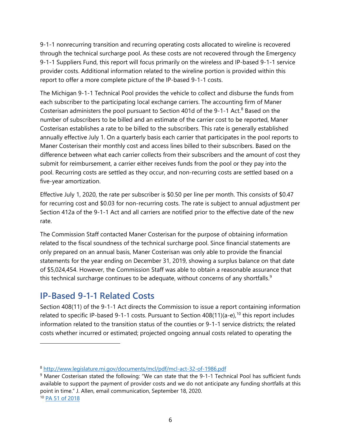9-1-1 nonrecurring transition and recurring operating costs allocated to wireline is recovered through the technical surcharge pool. As these costs are not recovered through the Emergency 9-1-1 Suppliers Fund, this report will focus primarily on the wireless and IP-based 9-1-1 service provider costs. Additional information related to the wireline portion is provided within this report to offer a more complete picture of the IP-based 9-1-1 costs.

The Michigan 9-1-1 Technical Pool provides the vehicle to collect and disburse the funds from each subscriber to the participating local exchange carriers. The accounting firm of Maner Costerisan administers the pool pursuant to Section 401d of the 9-1-1 Act.<sup>[8](#page-11-1)</sup> Based on the number of subscribers to be billed and an estimate of the carrier cost to be reported, Maner Costerisan establishes a rate to be billed to the subscribers. This rate is generally established annually effective July 1. On a quarterly basis each carrier that participates in the pool reports to Maner Costerisan their monthly cost and access lines billed to their subscribers. Based on the difference between what each carrier collects from their subscribers and the amount of cost they submit for reimbursement, a carrier either receives funds from the pool or they pay into the pool. Recurring costs are settled as they occur, and non-recurring costs are settled based on a five-year amortization.

Effective July 1, 2020, the rate per subscriber is \$0.50 per line per month. This consists of \$0.47 for recurring cost and \$0.03 for non-recurring costs. The rate is subject to annual adjustment per Section 412a of the 9-1-1 Act and all carriers are notified prior to the effective date of the new rate.

The Commission Staff contacted Maner Costerisan for the purpose of obtaining information related to the fiscal soundness of the technical surcharge pool. Since financial statements are only prepared on an annual basis, Maner Costerisan was only able to provide the financial statements for the year ending on December 31, 2019, showing a surplus balance on that date of \$5,024,454. However, the Commission Staff was able to obtain a reasonable assurance that this technical surcharge continues to be adequate, without concerns of any shortfalls. $9$ 

# <span id="page-11-0"></span>**IP-Based 9-1-1 Related Costs**

Section 408(11) of the 9-1-1 Act directs the Commission to issue a report containing information related to specific IP-based 9-1-1 costs. Pursuant to Section 408(11)(a-e),<sup>[10](#page-11-3)</sup> this report includes information related to the transition status of the counties or 9-1-1 service districts; the related costs whether incurred or estimated; projected ongoing annual costs related to operating the

<span id="page-11-1"></span><sup>8</sup> <http://www.legislature.mi.gov/documents/mcl/pdf/mcl-act-32-of-1986.pdf>

<span id="page-11-2"></span><sup>9</sup> Maner Costerisan stated the following: "We can state that the 9-1-1 Technical Pool has sufficient funds available to support the payment of provider costs and we do not anticipate any funding shortfalls at this point in time." J. Allen, email communication, September 18, 2020.

<span id="page-11-3"></span><sup>10</sup> [PA 51 of 2018](http://www.legislature.mi.gov/documents/2017-2018/publicact/pdf/2018-PA-0051.pdf)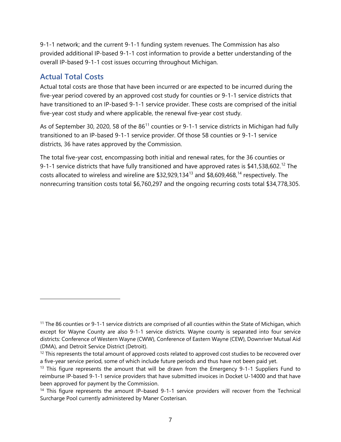9-1-1 network; and the current 9-1-1 funding system revenues. The Commission has also provided additional IP-based 9-1-1 cost information to provide a better understanding of the overall IP-based 9-1-1 cost issues occurring throughout Michigan.

# <span id="page-12-0"></span>**Actual Total Costs**

Actual total costs are those that have been incurred or are expected to be incurred during the five-year period covered by an approved cost study for counties or 9-1-1 service districts that have transitioned to an IP-based 9-1-1 service provider. These costs are comprised of the initial five-year cost study and where applicable, the renewal five-year cost study.

As of September 30, 2020, 58 of the  $86<sup>11</sup>$  $86<sup>11</sup>$  $86<sup>11</sup>$  counties or 9-1-1 service districts in Michigan had fully transitioned to an IP-based 9-1-1 service provider. Of those 58 counties or 9-1-1 service districts, 36 have rates approved by the Commission.

The total five-year cost, encompassing both initial and renewal rates, for the 36 counties or 9-1-1 service districts that have fully transitioned and have approved rates is \$41,538,602.<sup>[12](#page-12-2)</sup> The costs allocated to wireless and wireline are \$32,929,[13](#page-12-3)4<sup>13</sup> and \$8,609,468,<sup>[14](#page-12-4)</sup> respectively. The nonrecurring transition costs total \$6,760,297 and the ongoing recurring costs total \$34,778,305.

<span id="page-12-1"></span><sup>&</sup>lt;sup>11</sup> The 86 counties or 9-1-1 service districts are comprised of all counties within the State of Michigan, which except for Wayne County are also 9-1-1 service districts. Wayne county is separated into four service districts: Conference of Western Wayne (CWW), Conference of Eastern Wayne (CEW), Downriver Mutual Aid (DMA), and Detroit Service District (Detroit).

<span id="page-12-2"></span><sup>&</sup>lt;sup>12</sup> This represents the total amount of approved costs related to approved cost studies to be recovered over a five-year service period, some of which include future periods and thus have not been paid yet.

<span id="page-12-3"></span><sup>&</sup>lt;sup>13</sup> This figure represents the amount that will be drawn from the Emergency 9-1-1 Suppliers Fund to reimburse IP-based 9-1-1 service providers that have submitted invoices in Docket U-14000 and that have been approved for payment by the Commission.

<span id="page-12-4"></span><sup>&</sup>lt;sup>14</sup> This figure represents the amount IP-based 9-1-1 service providers will recover from the Technical Surcharge Pool currently administered by Maner Costerisan.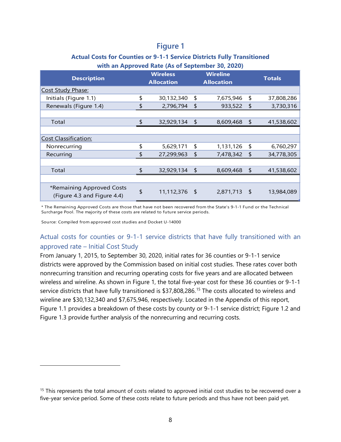# **Figure 1**

#### **Actual Costs for Counties or 9-1-1 Service Districts Fully Transitioned with an Approved Rate (As of September 30, 2020)**

|                                                          | . . |                                      |    |                                      |               |            |
|----------------------------------------------------------|-----|--------------------------------------|----|--------------------------------------|---------------|------------|
| <b>Description</b>                                       |     | <b>Wireless</b><br><b>Allocation</b> |    | <b>Wireline</b><br><b>Allocation</b> | <b>Totals</b> |            |
| <b>Cost Study Phase:</b>                                 |     |                                      |    |                                      |               |            |
| Initials (Figure 1.1)                                    | \$  | 30,132,340                           | \$ | 7,675,946                            | \$            | 37,808,286 |
| Renewals (Figure 1.4)                                    | \$  | 2,796,794                            | \$ | 933,522                              | \$            | 3,730,316  |
|                                                          |     |                                      |    |                                      |               |            |
| Total                                                    | \$  | 32,929,134                           | \$ | 8,609,468                            | \$            | 41,538,602 |
|                                                          |     |                                      |    |                                      |               |            |
| <b>Cost Classification:</b>                              |     |                                      |    |                                      |               |            |
| Nonrecurring                                             | \$  | 5,629,171                            | \$ | 1,131,126                            | \$            | 6,760,297  |
| Recurring                                                | \$  | 27,299,963                           | \$ | 7,478,342                            | \$            | 34,778,305 |
|                                                          |     |                                      |    |                                      |               |            |
| Total                                                    | \$  | 32,929,134                           | \$ | 8,609,468                            | $\sqrt{2}$    | 41,538,602 |
|                                                          |     |                                      |    |                                      |               |            |
| *Remaining Approved Costs<br>(Figure 4.3 and Figure 4.4) | \$  | 11,112,376 \$                        |    | 2,871,713 \$                         |               | 13,984,089 |

\* The Remaining Approved Costs are those that have not been recovered from the State's 9-1-1 Fund or the Technical Surcharge Pool. The majority of these costs are related to future service periods.

Source: Compiled from approved cost studies and Docket U-14000

#### Actual costs for counties or 9-1-1 service districts that have fully transitioned with an approved rate – Initial Cost Study

From January 1, 2015, to September 30, 2020, initial rates for 36 counties or 9-1-1 service districts were approved by the Commission based on initial cost studies. These rates cover both nonrecurring transition and recurring operating costs for five years and are allocated between wireless and wireline. As shown in Figure 1, the total five-year cost for these 36 counties or 9-1-1 service districts that have fully transitioned is \$37,808,286. [15](#page-13-0) The costs allocated to wireless and wireline are \$30,132,340 and \$7,675,946, respectively. Located in the Appendix of this report, Figure 1.1 provides a breakdown of these costs by county or 9-1-1 service district; Figure 1.2 and Figure 1.3 provide further analysis of the nonrecurring and recurring costs.

<span id="page-13-0"></span><sup>&</sup>lt;sup>15</sup> This represents the total amount of costs related to approved initial cost studies to be recovered over a five-year service period. Some of these costs relate to future periods and thus have not been paid yet.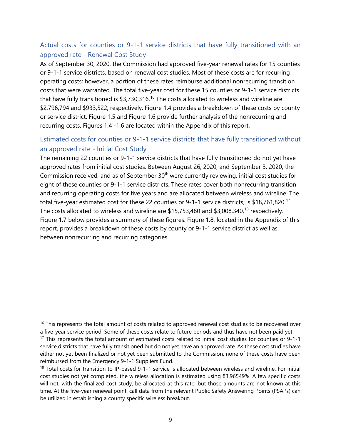#### Actual costs for counties or 9-1-1 service districts that have fully transitioned with an approved rate - Renewal Cost Study

As of September 30, 2020, the Commission had approved five-year renewal rates for 15 counties or 9-1-1 service districts, based on renewal cost studies. Most of these costs are for recurring operating costs; however, a portion of these rates reimburse additional nonrecurring transition costs that were warranted. The total five-year cost for these 15 counties or 9-1-1 service districts that have fully transitioned is  $$3,730,316.$  $$3,730,316.$  $$3,730,316.$ <sup>16</sup> The costs allocated to wireless and wireline are \$2,796,794 and \$933,522, respectively. Figure 1.4 provides a breakdown of these costs by county or service district. Figure 1.5 and Figure 1.6 provide further analysis of the nonrecurring and recurring costs. Figures 1.4 -1.6 are located within the Appendix of this report.

#### Estimated costs for counties or 9-1-1 service districts that have fully transitioned without an approved rate - Initial Cost Study

The remaining 22 counties or 9-1-1 service districts that have fully transitioned do not yet have approved rates from initial cost studies. Between August 26, 2020, and September 3, 2020, the Commission received, and as of September 30<sup>th</sup> were currently reviewing, initial cost studies for eight of these counties or 9-1-1 service districts. These rates cover both nonrecurring transition and recurring operating costs for five years and are allocated between wireless and wireline. The total five-year estimated cost for these 22 counties or 9-1-1 service districts, is \$18,761,820.<sup>[17](#page-14-1)</sup> The costs allocated to wireless and wireline are \$15,753,480 and \$3,008,340, [18](#page-14-2) respectively. Figure 1.7 below provides a summary of these figures. Figure 1.8, located in the Appendix of this report, provides a breakdown of these costs by county or 9-1-1 service district as well as between nonrecurring and recurring categories.

<span id="page-14-0"></span><sup>&</sup>lt;sup>16</sup> This represents the total amount of costs related to approved renewal cost studies to be recovered over a five-year service period. Some of these costs relate to future periods and thus have not been paid yet.

<span id="page-14-1"></span><sup>&</sup>lt;sup>17</sup> This represents the total amount of estimated costs related to initial cost studies for counties or 9-1-1 service districts that have fully transitioned but do not yet have an approved rate. As these cost studies have either not yet been finalized or not yet been submitted to the Commission, none of these costs have been reimbursed from the Emergency 9-1-1 Suppliers Fund.

<span id="page-14-2"></span><sup>&</sup>lt;sup>18</sup> Total costs for transition to IP-based 9-1-1 service is allocated between wireless and wireline. For initial cost studies not yet completed, the wireless allocation is estimated using 83.96549%. A few specific costs will not, with the finalized cost study, be allocated at this rate, but those amounts are not known at this time. At the five-year renewal point, call data from the relevant Public Safety Answering Points (PSAPs) can be utilized in establishing a county specific wireless breakout.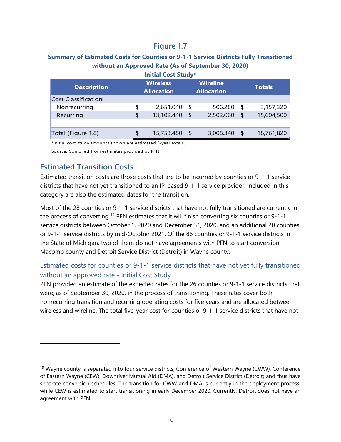#### **Summary of Estimated Costs for Counties or 9-1-1 Service Districts Fully Transitioned without an Approved Rate (As of September 30, 2020)**

| <b>Description</b>          |   | <b>Wireless</b><br><b>Allocation</b> | <b>Wireline</b><br><b>Allocation</b> |           |     | <b>Totals</b> |
|-----------------------------|---|--------------------------------------|--------------------------------------|-----------|-----|---------------|
| <b>Cost Classification:</b> |   |                                      |                                      |           |     |               |
| Nonrecurring                |   | 2,651,040                            | S                                    | 506,280   | \$  | 3,157,320     |
| Recurring                   | S | 13,102,440                           | \$                                   | 2,502,060 | \$  | 15,604,500    |
|                             |   |                                      |                                      |           |     |               |
| Total (Figure 1.8)          |   | 15,753,480 \$                        |                                      | 3,008,340 | -\$ | 18,761,820    |

\*Initial cost study amounts shown are estimated 5-year totals.

Source: Compiled from estimates provided by PFN

### <span id="page-15-0"></span>**Estimated Transition Costs**

Estimated transition costs are those costs that are to be incurred by counties or 9-1-1 service districts that have not yet transitioned to an IP-based 9-1-1 service provider. Included in this category are also the estimated dates for the transition.

Most of the 28 counties or 9-1-1 service districts that have not fully transitioned are currently in the process of converting.<sup>19</sup> PFN estimates that it will finish converting six counties or 9-1-1 service districts between October 1, 2020 and December 31, 2020, and an additional 20 counties or 9-1-1 service districts by mid-October 2021. Of the 86 counties or 9-1-1 service districts in the State of Michigan, two of them do not have agreements with PFN to start conversion: Macomb county and Detroit Service District (Detroit) in Wayne county.

#### Estimated costs for counties or 9-1-1 service districts that have not yet fully transitioned without an approved rate - Initial Cost Study

PFN provided an estimate of the expected rates for the 26 counties or 9-1-1 service districts that were, as of September 30, 2020, in the process of transitioning. These rates cover both nonrecurring transition and recurring operating costs for five years and are allocated between wireless and wireline. The total five-year cost for counties or 9-1-1 service districts that have not

<span id="page-15-1"></span><sup>&</sup>lt;sup>19</sup> Wayne county is separated into four service districts; Conference of Western Wayne (CWW), Conference of Eastern Wayne (CEW), Downriver Mutual Aid (DMA), and Detroit Service District (Detroit) and thus have separate conversion schedules. The transition for CWW and DMA is currently in the deployment process, while CEW is estimated to start transitioning in early December 2020. Currently, Detroit does not have an agreement with PFN.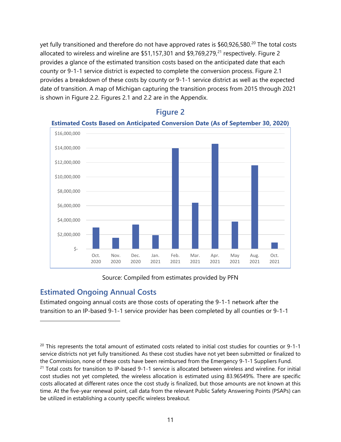yet fully transitioned and therefore do not have approved rates is \$60,926,580.<sup>[20](#page-16-1)</sup> The total costs allocated to wireless and wireline are \$51,157,301 and \$9,769,279,<sup>[21](#page-16-2)</sup> respectively. Figure 2 provides a glance of the estimated transition costs based on the anticipated date that each county or 9-1-1 service district is expected to complete the conversion process. Figure 2.1 provides a breakdown of these costs by county or 9-1-1 service district as well as the expected date of transition. A map of Michigan capturing the transition process from 2015 through 2021 is shown in Figure 2.2. Figures 2.1 and 2.2 are in the Appendix.



### **Figure 2**

Source: Compiled from estimates provided by PFN

### <span id="page-16-0"></span>**Estimated Ongoing Annual Costs**

Estimated ongoing annual costs are those costs of operating the 9-1-1 network after the transition to an IP-based 9-1-1 service provider has been completed by all counties or 9-1-1

<span id="page-16-2"></span><span id="page-16-1"></span> $20$  This represents the total amount of estimated costs related to initial cost studies for counties or 9-1-1 service districts not yet fully transitioned. As these cost studies have not yet been submitted or finalized to the Commission, none of these costs have been reimbursed from the Emergency 9-1-1 Suppliers Fund. <sup>21</sup> Total costs for transition to IP-based 9-1-1 service is allocated between wireless and wireline. For initial cost studies not yet completed, the wireless allocation is estimated using 83.96549%. There are specific costs allocated at different rates once the cost study is finalized, but those amounts are not known at this time. At the five-year renewal point, call data from the relevant Public Safety Answering Points (PSAPs) can be utilized in establishing a county specific wireless breakout.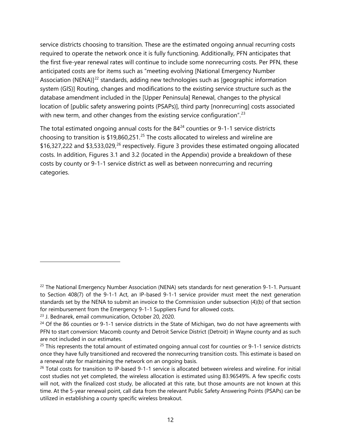service districts choosing to transition. These are the estimated ongoing annual recurring costs required to operate the network once it is fully functioning. Additionally, PFN anticipates that the first five-year renewal rates will continue to include some nonrecurring costs. Per PFN, these anticipated costs are for items such as "meeting evolving [National Emergency Number Association (NENA)] $<sup>22</sup>$  $<sup>22</sup>$  $<sup>22</sup>$  standards, adding new technologies such as [geographic information</sup> system (GIS)] Routing, changes and modifications to the existing service structure such as the database amendment included in the [Upper Peninsula] Renewal, changes to the physical location of [public safety answering points (PSAPs)], third party [nonrecurring] costs associated with new term, and other changes from the existing service configuration".<sup>23</sup>

The total estimated ongoing annual costs for the  $84^{24}$  $84^{24}$  $84^{24}$  counties or 9-1-1 service districts choosing to transition is  $$19,860,251.<sup>25</sup>$  $$19,860,251.<sup>25</sup>$  $$19,860,251.<sup>25</sup>$  The costs allocated to wireless and wireline are \$16,327,222 and \$3,533,029,<sup>[26](#page-17-4)</sup> respectively. Figure 3 provides these estimated ongoing allocated costs. In addition, Figures 3.1 and 3.2 (located in the Appendix) provide a breakdown of these costs by county or 9-1-1 service district as well as between nonrecurring and recurring categories.

<span id="page-17-0"></span><sup>&</sup>lt;sup>22</sup> The National Emergency Number Association (NENA) sets standards for next generation 9-1-1. Pursuant to Section 408(7) of the 9-1-1 Act, an IP-based 9-1-1 service provider must meet the next generation standards set by the NENA to submit an invoice to the Commission under subsection (4)(b) of that section for reimbursement from the Emergency 9-1-1 Suppliers Fund for allowed costs.

<span id="page-17-1"></span><sup>23</sup> J. Bednarek, email communication, October 20, 2020.

<span id="page-17-2"></span><sup>&</sup>lt;sup>24</sup> Of the 86 counties or 9-1-1 service districts in the State of Michigan, two do not have agreements with PFN to start conversion: Macomb county and Detroit Service District (Detroit) in Wayne county and as such are not included in our estimates.

<span id="page-17-3"></span> $25$  This represents the total amount of estimated ongoing annual cost for counties or 9-1-1 service districts once they have fully transitioned and recovered the nonrecurring transition costs. This estimate is based on a renewal rate for maintaining the network on an ongoing basis.

<span id="page-17-4"></span><sup>&</sup>lt;sup>26</sup> Total costs for transition to IP-based 9-1-1 service is allocated between wireless and wireline. For initial cost studies not yet completed, the wireless allocation is estimated using 83.96549%. A few specific costs will not, with the finalized cost study, be allocated at this rate, but those amounts are not known at this time. At the 5-year renewal point, call data from the relevant Public Safety Answering Points (PSAPs) can be utilized in establishing a county specific wireless breakout.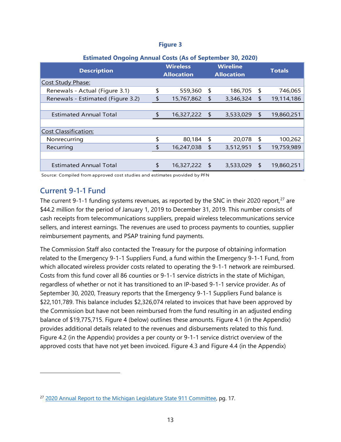#### **Figure 3**

| Extinued ongoing Annual Costs (As of September 30, EVEV) |    |                                      |                                      |           |    |               |  |  |  |  |
|----------------------------------------------------------|----|--------------------------------------|--------------------------------------|-----------|----|---------------|--|--|--|--|
| <b>Description</b>                                       |    | <b>Wireless</b><br><b>Allocation</b> | <b>Wireline</b><br><b>Allocation</b> |           |    | <b>Totals</b> |  |  |  |  |
| Cost Study Phase:                                        |    |                                      |                                      |           |    |               |  |  |  |  |
| Renewals - Actual (Figure 3.1)                           | \$ | 559,360                              | \$                                   | 186,705   | \$ | 746,065       |  |  |  |  |
| Renewals - Estimated (Figure 3.2)                        | \$ | 15,767,862                           | $\frac{1}{2}$                        | 3,346,324 | \$ | 19,114,186    |  |  |  |  |
|                                                          |    |                                      |                                      |           |    |               |  |  |  |  |
| <b>Estimated Annual Total</b>                            | \$ | 16,327,222                           | $\sqrt{2}$                           | 3,533,029 | \$ | 19,860,251    |  |  |  |  |
|                                                          |    |                                      |                                      |           |    |               |  |  |  |  |
| Cost Classification:                                     |    |                                      |                                      |           |    |               |  |  |  |  |
| Nonrecurring                                             | \$ | 80,184                               | \$                                   | 20,078    | \$ | 100,262       |  |  |  |  |
| Recurring                                                | \$ | 16,247,038                           | $\frac{1}{2}$                        | 3,512,951 | \$ | 19,759,989    |  |  |  |  |
|                                                          |    |                                      |                                      |           |    |               |  |  |  |  |
| <b>Estimated Annual Total</b>                            | \$ | 16,327,222                           | - \$                                 | 3,533,029 | \$ | 19,860,251    |  |  |  |  |

#### **Estimated Ongoing Annual Costs (As of September 30, 2020)**

Source: Compiled from approved cost studies and estimates pvovided by PFN

### <span id="page-18-0"></span>**Current 9-1-1 Fund**

The current 9-1-1 funding systems revenues, as reported by the SNC in their 2020 report,<sup>[27](#page-18-1)</sup> are \$44.2 million for the period of January 1, 2019 to December 31, 2019. This number consists of cash receipts from telecommunications suppliers, prepaid wireless telecommunications service sellers, and interest earnings. The revenues are used to process payments to counties, supplier reimbursement payments, and PSAP training fund payments.

The Commission Staff also contacted the Treasury for the purpose of obtaining information related to the Emergency 9-1-1 Suppliers Fund, a fund within the Emergency 9-1-1 Fund, from which allocated wireless provider costs related to operating the 9-1-1 network are reimbursed. Costs from this fund cover all 86 counties or 9-1-1 service districts in the state of Michigan, regardless of whether or not it has transitioned to an IP-based 9-1-1 service provider. As of September 30, 2020, Treasury reports that the Emergency 9-1-1 Suppliers Fund balance is \$22,101,789. This balance includes \$2,326,074 related to invoices that have been approved by the Commission but have not been reimbursed from the fund resulting in an adjusted ending balance of \$19,775,715. Figure 4 (below) outlines these amounts. Figure 4.1 (in the Appendix) provides additional details related to the revenues and disbursements related to this fund. Figure 4.2 (in the Appendix) provides a per county or 9-1-1 service district overview of the approved costs that have not yet been invoiced. Figure 4.3 and Figure 4.4 (in the Appendix)

<span id="page-18-1"></span><sup>&</sup>lt;sup>27</sup> [2020 Annual Report to the Michigan Legislature](https://www.michigan.gov/documents/msp/Annual_Report_to_the_Legislature_698154_7.pdf) State 911 Committee, pg. 17.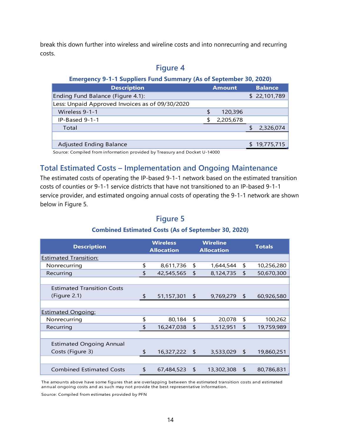break this down further into wireless and wireline costs and into nonrecurring and recurring costs.

# **Figure 4 Emergency 9-1-1 Suppliers Fund Summary (As of September 30, 2020) Description <b>Amount** Balance Ending Fund Balance (Figure 4.1): \$ 22,101,789 Less: Unpaid Approved Invoices as of 09/30/2020 Wireless 9-1-1 **\$ 120,396** IP-Based 9-1-1 \$ 2,205,678  $\quad$ Total  $\quad$  2,326,074 Adjusted Ending Balance **\$ 19,775,715**

Source: Compiled from information provided by Treasury and Docket U-14000

# <span id="page-19-0"></span>**Total Estimated Costs – Implementation and Ongoing Maintenance**

The estimated costs of operating the IP-based 9-1-1 network based on the estimated transition costs of counties or 9-1-1 service districts that have not transitioned to an IP-based 9-1-1 service provider, and estimated ongoing annual costs of operating the 9-1-1 network are shown below in Figure 5.

| <b>Description</b>                | <b>Wireless</b><br><b>Allocation</b> |               |            | <b>Wireline</b><br><b>Allocation</b> | <b>Totals</b>            |            |  |
|-----------------------------------|--------------------------------------|---------------|------------|--------------------------------------|--------------------------|------------|--|
| <b>Estimated Transition:</b>      |                                      |               |            |                                      |                          |            |  |
| Nonrecurring                      | \$                                   | 8,611,736     | \$         | 1,644,544                            | \$                       | 10,256,280 |  |
| Recurring                         | \$                                   | 42,545,565    | \$         | 8,124,735                            | \$                       | 50,670,300 |  |
|                                   |                                      |               |            |                                      |                          |            |  |
| <b>Estimated Transition Costs</b> |                                      |               |            |                                      |                          |            |  |
| (Figure 2.1)                      | \$                                   | 51,157,301    | $\sqrt{2}$ | 9,769,279                            | $\overline{\phantom{a}}$ | 60,926,580 |  |
|                                   |                                      |               |            |                                      |                          |            |  |
| <b>Estimated Ongoing:</b>         |                                      |               |            |                                      |                          |            |  |
| Nonrecurring                      | \$                                   | 80,184        | \$         | 20,078                               | \$                       | 100,262    |  |
| Recurring                         | \$                                   | 16,247,038    | \$         | 3,512,951                            | \$                       | 19,759,989 |  |
|                                   |                                      |               |            |                                      |                          |            |  |
| <b>Estimated Ongoing Annual</b>   |                                      |               |            |                                      |                          |            |  |
| Costs (Figure 3)                  | \$                                   | 16,327,222 \$ |            | 3,533,029                            | -\$                      | 19,860,251 |  |
|                                   |                                      |               |            |                                      |                          |            |  |
| <b>Combined Estimated Costs</b>   | \$                                   | 67,484,523 \$ |            | 13,302,308                           | \$                       | 80,786,831 |  |

# **Figure 5**

#### **Combined Estimated Costs (As of September 30, 2020)**

The amounts above have some figures that are overlapping between the estimated transition costs and estimated annual ongoing costs and as such may not provide the best representative information.

Source: Compiled from estimates provided by PFN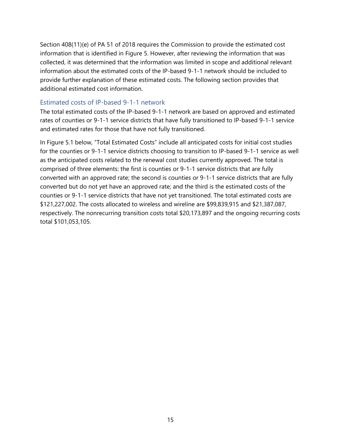Section 408(11)(e) of PA 51 of 2018 requires the Commission to provide the estimated cost information that is identified in Figure 5. However, after reviewing the information that was collected, it was determined that the information was limited in scope and additional relevant information about the estimated costs of the IP-based 9-1-1 network should be included to provide further explanation of these estimated costs. The following section provides that additional estimated cost information.

#### Estimated costs of IP-based 9-1-1 network

The total estimated costs of the IP-based 9-1-1 network are based on approved and estimated rates of counties or 9-1-1 service districts that have fully transitioned to IP-based 9-1-1 service and estimated rates for those that have not fully transitioned.

In Figure 5.1 below, "Total Estimated Costs" include all anticipated costs for initial cost studies for the counties or 9-1-1 service districts choosing to transition to IP-based 9-1-1 service as well as the anticipated costs related to the renewal cost studies currently approved. The total is comprised of three elements: the first is counties or 9-1-1 service districts that are fully converted with an approved rate; the second is counties or 9-1-1 service districts that are fully converted but do not yet have an approved rate; and the third is the estimated costs of the counties or 9-1-1 service districts that have not yet transitioned. The total estimated costs are \$121,227,002. The costs allocated to wireless and wireline are \$99,839,915 and \$21,387,087, respectively. The nonrecurring transition costs total \$20,173,897 and the ongoing recurring costs total \$101,053,105.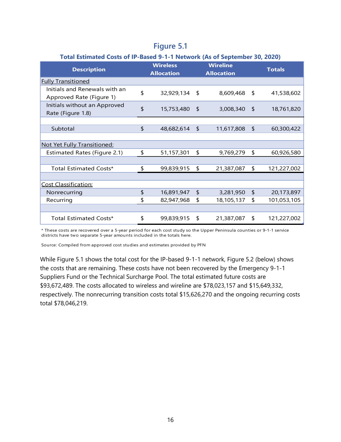#### **Figure 5.1**

| <b>Description</b>                                        | <b>Wireless</b><br><b>Allocation</b> | <b>Wireline</b><br><b>Allocation</b> |            | <b>Totals</b>     |
|-----------------------------------------------------------|--------------------------------------|--------------------------------------|------------|-------------------|
| <b>Fully Transitioned</b>                                 |                                      |                                      |            |                   |
| Initials and Renewals with an<br>Approved Rate (Figure 1) | \$<br>32,929,134                     | \$                                   | 8,609,468  | \$<br>41,538,602  |
| Initials without an Approved<br>Rate (Figure 1.8)         | \$<br>15,753,480                     | \$                                   | 3,008,340  | \$<br>18,761,820  |
|                                                           |                                      |                                      |            |                   |
| Subtotal                                                  | \$<br>48,682,614                     | \$                                   | 11,617,808 | \$<br>60,300,422  |
|                                                           |                                      |                                      |            |                   |
| Not Yet Fully Transitioned:                               |                                      |                                      |            |                   |
| Estimated Rates (Figure 2.1)                              | \$<br>51,157,301                     | \$                                   | 9,769,279  | \$<br>60,926,580  |
|                                                           |                                      |                                      |            |                   |
| Total Estimated Costs*                                    | \$<br>99,839,915                     | \$                                   | 21,387,087 | \$<br>121,227,002 |
|                                                           |                                      |                                      |            |                   |
| Cost Classification:                                      |                                      |                                      |            |                   |
| Nonrecurring                                              | \$<br>16,891,947                     | $\sqrt{2}$                           | 3,281,950  | \$<br>20,173,897  |
| Recurring                                                 | \$<br>82,947,968                     | \$                                   | 18,105,137 | \$<br>101,053,105 |
|                                                           |                                      |                                      |            |                   |
| Total Estimated Costs*                                    | \$<br>99,839,915                     | \$                                   | 21,387,087 | \$<br>121,227,002 |

\* These costs are recovered over a 5-year period for each cost study so the Upper Peninsula counties or 9-1-1 service districts have two separate 5-year amounts included in the totals here.

Source: Compiled from approved cost studies and estimates provided by PFN

While Figure 5.1 shows the total cost for the IP-based 9-1-1 network, Figure 5.2 (below) shows the costs that are remaining. These costs have not been recovered by the Emergency 9-1-1 Suppliers Fund or the Technical Surcharge Pool. The total estimated future costs are \$93,672,489. The costs allocated to wireless and wireline are \$78,023,157 and \$15,649,332, respectively. The nonrecurring transition costs total \$15,626,270 and the ongoing recurring costs total \$78,046,219.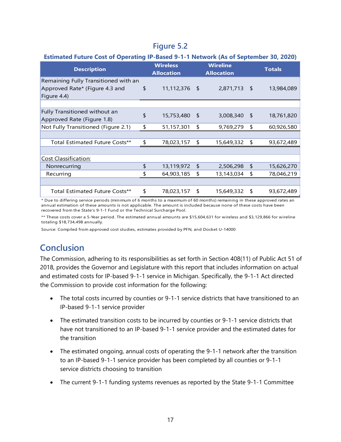# **Figure 5.2**

#### **Estimated Future Cost of Operating IP-Based 9-1-1 Network (As of September 30, 2020)**

| <b>Description</b>                   |    | <b>Wireless</b><br><b>Allocation</b> |            | <b>Wireline</b><br><b>Allocation</b> |    | <b>Totals</b> |
|--------------------------------------|----|--------------------------------------|------------|--------------------------------------|----|---------------|
| Remaining Fully Transitioned with an |    |                                      |            |                                      |    |               |
| Approved Rate* (Figure 4.3 and       | \$ | 11,112,376 \$                        |            | 2,871,713                            | \$ | 13,984,089    |
| Figure 4.4)                          |    |                                      |            |                                      |    |               |
|                                      |    |                                      |            |                                      |    |               |
| Fully Transitioned without an        | \$ |                                      |            |                                      |    |               |
| Approved Rate (Figure 1.8)           |    | 15,753,480                           | $\sqrt{5}$ | 3,008,340                            | \$ | 18,761,820    |
| Not Fully Transitioned (Figure 2.1)  |    | 51,157,301                           | \$         | 9,769,279                            | \$ | 60,926,580    |
|                                      |    |                                      |            |                                      |    |               |
| Total Estimated Future Costs**       | \$ | 78,023,157                           | S          | 15,649,332                           | \$ | 93,672,489    |
|                                      |    |                                      |            |                                      |    |               |
| <b>Cost Classification:</b>          |    |                                      |            |                                      |    |               |
| Nonrecurring                         | \$ | 13,119,972                           | \$         | 2,506,298                            | \$ | 15,626,270    |
| Recurring                            | \$ | 64,903,185                           | \$         | 13,143,034                           | \$ | 78,046,219    |
|                                      |    |                                      |            |                                      |    |               |
| Total Estimated Future Costs**       | \$ | 78,023,157                           | \$         | 15,649,332                           | \$ | 93,672,489    |

\* Due to differing service periods (minimum of 6 months to a maximum of 60 months) remaining in these approved rates an annual estimation of these amounts is not applicable. The amount is included because none of these costs have been recovered from the State's 9-1-1 Fund or the Technical Surcharge Pool.

\*\* These costs cover a 5-Year period. The estimated annual amounts are \$15,604,631 for wireless and \$3,129,866 for wireline totaling \$18,734,498 annually.

Source: Compiled from approved cost studies, estimates provided by PFN, and Docket U-14000

# <span id="page-22-0"></span>**Conclusion**

The Commission, adhering to its responsibilities as set forth in Section 408(11) of Public Act 51 of 2018, provides the Governor and Legislature with this report that includes information on actual and estimated costs for IP-based 9-1-1 service in Michigan. Specifically, the 9-1-1 Act directed the Commission to provide cost information for the following:

- The total costs incurred by counties or 9-1-1 service districts that have transitioned to an IP-based 9-1-1 service provider
- The estimated transition costs to be incurred by counties or 9-1-1 service districts that have not transitioned to an IP-based 9-1-1 service provider and the estimated dates for the transition
- The estimated ongoing, annual costs of operating the 9-1-1 network after the transition to an IP-based 9-1-1 service provider has been completed by all counties or 9-1-1 service districts choosing to transition
- The current 9-1-1 funding systems revenues as reported by the State 9-1-1 Committee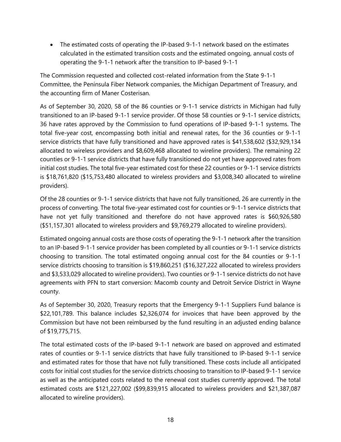• The estimated costs of operating the IP-based 9-1-1 network based on the estimates calculated in the estimated transition costs and the estimated ongoing, annual costs of operating the 9-1-1 network after the transition to IP-based 9-1-1

The Commission requested and collected cost-related information from the State 9-1-1 Committee, the Peninsula Fiber Network companies, the Michigan Department of Treasury, and the accounting firm of Maner Costerisan.

As of September 30, 2020, 58 of the 86 counties or 9-1-1 service districts in Michigan had fully transitioned to an IP-based 9-1-1 service provider. Of those 58 counties or 9-1-1 service districts, 36 have rates approved by the Commission to fund operations of IP-based 9-1-1 systems. The total five-year cost, encompassing both initial and renewal rates, for the 36 counties or 9-1-1 service districts that have fully transitioned and have approved rates is \$41,538,602 (\$32,929,134 allocated to wireless providers and \$8,609,468 allocated to wireline providers). The remaining 22 counties or 9-1-1 service districts that have fully transitioned do not yet have approved rates from initial cost studies. The total five-year estimated cost for these 22 counties or 9-1-1 service districts is \$18,761,820 (\$15,753,480 allocated to wireless providers and \$3,008,340 allocated to wireline providers).

Of the 28 counties or 9-1-1 service districts that have not fully transitioned, 26 are currently in the process of converting. The total five-year estimated cost for counties or 9-1-1 service districts that have not yet fully transitioned and therefore do not have approved rates is \$60,926,580 (\$51,157,301 allocated to wireless providers and \$9,769,279 allocated to wireline providers).

Estimated ongoing annual costs are those costs of operating the 9-1-1 network after the transition to an IP-based 9-1-1 service provider has been completed by all counties or 9-1-1 service districts choosing to transition. The total estimated ongoing annual cost for the 84 counties or 9-1-1 service districts choosing to transition is \$19,860,251 (\$16,327,222 allocated to wireless providers and \$3,533,029 allocated to wireline providers). Two counties or 9-1-1 service districts do not have agreements with PFN to start conversion: Macomb county and Detroit Service District in Wayne county.

As of September 30, 2020, Treasury reports that the Emergency 9-1-1 Suppliers Fund balance is \$22,101,789. This balance includes \$2,326,074 for invoices that have been approved by the Commission but have not been reimbursed by the fund resulting in an adjusted ending balance of \$19,775,715.

The total estimated costs of the IP-based 9-1-1 network are based on approved and estimated rates of counties or 9-1-1 service districts that have fully transitioned to IP-based 9-1-1 service and estimated rates for those that have not fully transitioned. These costs include all anticipated costs for initial cost studies for the service districts choosing to transition to IP-based 9-1-1 service as well as the anticipated costs related to the renewal cost studies currently approved. The total estimated costs are \$121,227,002 (\$99,839,915 allocated to wireless providers and \$21,387,087 allocated to wireline providers).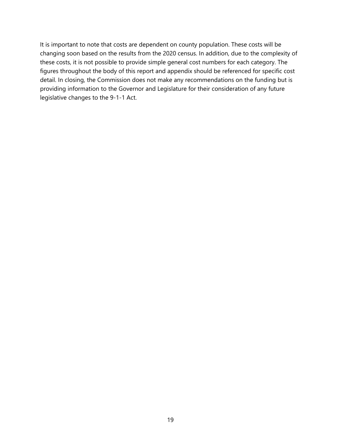It is important to note that costs are dependent on county population. These costs will be changing soon based on the results from the 2020 census. In addition, due to the complexity of these costs, it is not possible to provide simple general cost numbers for each category. The figures throughout the body of this report and appendix should be referenced for specific cost detail. In closing, the Commission does not make any recommendations on the funding but is providing information to the Governor and Legislature for their consideration of any future legislative changes to the 9-1-1 Act.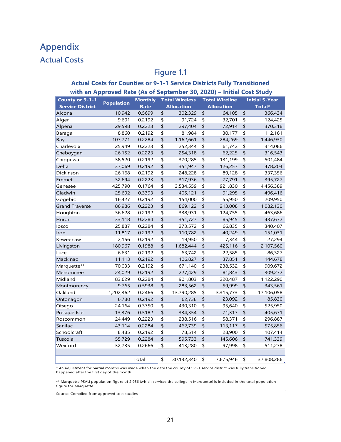# <span id="page-26-1"></span><span id="page-26-0"></span>**Appendix Actual Costs**

# **Figure 1.1**

#### **Actual Costs for Counties or 9-1-1 Service Districts Fully Transitioned with an Approved Rate (As of September 30, 2020) – Initial Cost Study**

| County or 9-1-1         |                   | <b>Monthly</b> | <b>Total Wireless</b> |                   |                         | <b>Total Wireline</b> | <b>Initial 5-Year</b>   |            |  |
|-------------------------|-------------------|----------------|-----------------------|-------------------|-------------------------|-----------------------|-------------------------|------------|--|
| <b>Service District</b> | <b>Population</b> | <b>Rate</b>    |                       | <b>Allocation</b> |                         | <b>Allocation</b>     |                         | Total*     |  |
| Alcona                  | 10,942            | 0.5699         | \$                    | 302,329           | \$                      | 64,105                | \$                      | 366,434    |  |
| Alger                   | 9,601             | 0.2192         | \$                    | 91,724            | \$                      | 32,701                | $\overline{\mathsf{L}}$ | 124,425    |  |
| Alpena                  | 29,598            | 0.2223         | \$                    | 297,404           | \$                      | 72,914                | \$                      | 370,318    |  |
| Baraga                  | 8,860             | 0.2192         | \$                    | 81,984            | \$                      | 30,177                | \$                      | 112,161    |  |
| Bay                     | 107,771           | 0.2284         | \$                    | 1,162,661         | \$                      | 284,269               | \$                      | 1,446,930  |  |
| Charlevoix              | 25,949            | 0.2223         | \$                    | 252,344           | \$                      | 61,742                | \$                      | 314,086    |  |
| Cheboygan               | 26,152            | 0.2223         | \$                    | 254,318           | \$                      | 62,225                | \$                      | 316,543    |  |
| Chippewa                | 38,520            | 0.2192         | \$                    | 370,285           | \$                      | 131,199               | \$                      | 501,484    |  |
| Delta                   | 37,069            | 0.2192         | \$                    | 351,947           | \$                      | 126,257               | \$                      | 478,204    |  |
| Dickinson               | 26,168            | 0.2192         | \$                    | 248,228           | \$                      | 89,128                | \$                      | 337,356    |  |
| Emmet                   | 32,694            | 0.2223         | \$                    | 317,936           | \$                      | 77,791                | \$                      | 395,727    |  |
| Genesee                 | 425,790           | 0.1764         | \$                    | 3,534,559         | \$                      | 921,830               | \$                      | 4,456,389  |  |
| Gladwin                 | 25,692            | 0.3393         | \$                    | 405,121           | \$                      | 91,295                | \$                      | 496,416    |  |
| Gogebic                 | 16,427            | 0.2192         | \$                    | 154,000           | \$                      | 55,950                | \$                      | 209,950    |  |
| <b>Grand Traverse</b>   | 86,986            | 0.2223         | \$                    | 869,122           | \$                      | 213,008               | \$                      | 1,082,130  |  |
| Houghton                | 36,628            | 0.2192         | \$                    | 338,931           | \$                      | 124,755               | \$                      | 463,686    |  |
| Huron                   | 33,118            | 0.2284         | \$                    | 351,727           | \$                      | 85,945                | \$                      | 437,672    |  |
| losco                   | 25,887            | 0.2284         | \$                    | 273,572           | \$                      | 66,835                | \$                      | 340,407    |  |
| Iron                    | 11,817            | 0.2192         | \$                    | 110,782           | \$                      | 40,249                | \$                      | 151,031    |  |
| Keweenaw                | 2,156             | 0.2192         | \$                    | 19,950            | \$                      | 7,344                 | \$                      | 27,294     |  |
| Livingston              | 180,967           | 0.1988         | \$                    | 1,682,444         | \$                      | 425,116               | \$                      | 2,107,560  |  |
| Luce                    | 6,631             | 0.2192         | \$                    | 63,742            | \$                      | 22,585                | \$                      | 86,327     |  |
| Mackinac                | 11,113            | 0.2192         | \$                    | 106,827           | \$                      | 37,851                | \$                      | 144,678    |  |
| Marquette**             | 70,033            | 0.2192         | \$                    | 671,140           | \$                      | 238,532               | \$                      | 909,672    |  |
| Menominee               | 24,029            | 0.2192         | \$                    | 227,429           | \$                      | 81,843                | \$                      | 309,272    |  |
| Midland                 | 83,629            | 0.2284         | \$                    | 901,803           | \$                      | 220,487               | \$                      | 1,122,290  |  |
| Montmorency             | 9,765             | 0.5938         | \$                    | 283,562           | \$                      | 59,999                | \$                      | 343,561    |  |
| Oakland                 | 1,202,362         | 0.2466         | \$                    | 13,790,285        | \$                      | 3,315,773             | \$                      | 17,106,058 |  |
| Ontonagon               | 6,780             | 0.2192         | \$                    | 62,738            | $\overline{\mathsf{L}}$ | 23,092                | $\overline{\mathsf{L}}$ | 85,830     |  |
| Otsego                  | 24,164            | 0.3750         | \$                    | 430,310           | \$                      | 95,640                | \$                      | 525,950    |  |
| Presque Isle            | 13,376            | 0.5182         | \$                    | 334,354           | \$                      | 71,317                | \$                      | 405,671    |  |
| Roscommon               | 24,449            | 0.2223         | \$                    | 238,516           | \$                      | 58,371                | \$                      | 296,887    |  |
| Sanilac                 | 43,114            | 0.2284         | \$                    | 462,739           | \$                      | 113,117               | \$                      | 575,856    |  |
| Schoolcraft             | 8,485             | 0.2192         | \$                    | 78,514            | \$                      | 28,900                | \$                      | 107,414    |  |
| Tuscola                 | 55,729            | 0.2284         | \$                    | 595,733           | $\overline{\mathsf{L}}$ | 145,606               | $\overline{\mathsf{L}}$ | 741,339    |  |
| Wexford                 | 32,735            | 0.2666         | \$                    | 413,280           | \$                      | 97,998                | \$                      | 511,278    |  |
|                         |                   |                |                       |                   |                         |                       |                         |            |  |
|                         |                   | Total          | \$                    | 30,132,340        | \$                      | 7,675,946             | \$                      | 37,808,286 |  |

An adjustment for partial months was made when the date the county of 9-1-1 service district was fully transitioned happened after the first day of the month.

\*\* Marquette PSALI population figure of 2,956 (which services the college in Marquette) is included in the total population figure for Marquette.

Source: Compiled from approved cost studies

 $\bar{\tau}$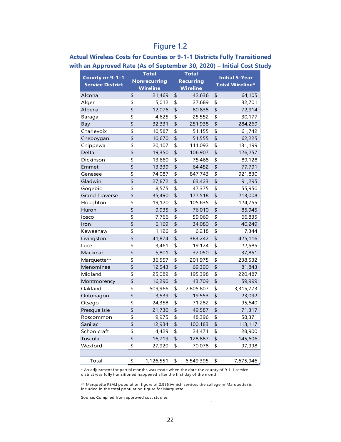| <b>Total</b><br>County or 9-1-1 |                           |                     |    | <b>Total</b>     | <b>Initial 5-Year</b>  |           |  |  |
|---------------------------------|---------------------------|---------------------|----|------------------|------------------------|-----------|--|--|
| <b>Service District</b>         |                           | <b>Nonrecurring</b> |    | <b>Recurring</b> | <b>Total Wireline*</b> |           |  |  |
|                                 |                           | <b>Wireline</b>     |    | <b>Wireline</b>  |                        |           |  |  |
| Alcona                          | \$                        | 21,469              | \$ | 42,636           | \$                     | 64,105    |  |  |
| Alger                           | \$                        | 5,012               | \$ | 27,689           | \$                     | 32,701    |  |  |
| Alpena                          | \$                        | 12,076              | \$ | 60,838           | \$                     | 72,914    |  |  |
| Baraga                          | \$                        | 4,625               | \$ | 25,552           | \$                     | 30,177    |  |  |
| Bay                             | \$                        | 32,331              | \$ | 251,938          | \$                     | 284,269   |  |  |
| Charlevoix                      | \$                        | 10,587              | \$ | 51,155           | \$                     | 61,742    |  |  |
| Cheboygan                       | \$                        | 10,670              | \$ | 51,555           | \$                     | 62,225    |  |  |
| Chippewa                        | \$                        | 20,107              | \$ | 111,092          | \$                     | 131,199   |  |  |
| Delta                           | \$                        | 19,350              | \$ | 106,907          | \$                     | 126,257   |  |  |
| Dickinson                       | \$                        | 13,660              | \$ | 75,468           | \$                     | 89,128    |  |  |
| Emmet                           | \$                        | 13,339              | \$ | 64,452           | \$                     | 77,791    |  |  |
| Genesee                         | \$                        | 74,087              | \$ | 847,743          | \$                     | 921,830   |  |  |
| Gladwin                         | $\overline{\mathsf{L}}$   | 27,872              | \$ | 63,423           | \$                     | 91,295    |  |  |
| Gogebic                         | \$                        | 8,575               | \$ | 47,375           | \$                     | 55,950    |  |  |
| <b>Grand Traverse</b>           | \$                        | 35,490              | \$ | 177,518          | \$                     | 213,008   |  |  |
| Houghton                        | \$                        | 19,120              | \$ | 105,635          | \$                     | 124,755   |  |  |
| Huron                           | \$                        | 9,935               | \$ | 76,010           | \$                     | 85,945    |  |  |
| losco                           | \$                        | 7,766               | \$ | 59,069           | \$                     | 66,835    |  |  |
| Iron                            | \$                        | 6,169               | \$ | 34,080           | \$                     | 40,249    |  |  |
| Keweenaw                        | \$                        | 1,126               | \$ | 6,218            | \$                     | 7,344     |  |  |
| Livingston                      | \$                        | 41,874              | \$ | 383,242          | \$                     | 425,116   |  |  |
| Luce                            | \$                        | 3,461               | \$ | 19,124           | \$                     | 22,585    |  |  |
| Mackinac                        | \$                        | 5,801               | \$ | 32,050           | \$                     | 37,851    |  |  |
| Marquette**                     | \$                        | 36,557              | \$ | 201,975          | \$                     | 238,532   |  |  |
| Menominee                       | \$                        | 12,543              | \$ | 69,300           | \$                     | 81,843    |  |  |
| Midland                         | \$                        | 25,089              | \$ | 195,398          | \$                     | 220,487   |  |  |
| Montmorency                     | \$                        | 16,290              | \$ | 43,709           | \$                     | 59,999    |  |  |
| Oakland                         | \$                        | 509,966             | \$ | 2,805,807        | \$                     | 3,315,773 |  |  |
| Ontonagon                       | \$                        | 3,539               | \$ | 19,553           | \$                     | 23,092    |  |  |
| Otsego                          | \$                        | 24,358              | \$ | 71,282           | \$                     | 95,640    |  |  |
| Presque Isle                    | \$                        | 21,730              | \$ | 49,587           | \$                     | 71,317    |  |  |
| Roscommon                       | \$                        | 9,975               | \$ | 48,396           | \$                     | 58,371    |  |  |
| Sanilac                         | \$                        | 12,934              | \$ | 100,183          | \$                     | 113,117   |  |  |
| Schoolcraft                     | \$                        | 4,429               | \$ | 24,471           | \$                     | 28,900    |  |  |
| Tuscola                         | $\overline{\mathfrak{s}}$ | 16,719              | \$ | 128,887          | \$                     | 145,606   |  |  |
| Wexford                         | \$                        | 27,920              | \$ | 70,078           | \$                     | 97,998    |  |  |
|                                 |                           |                     |    |                  |                        |           |  |  |
| Total                           | \$                        | 1,126,551           | \$ | 6,549,395        | \$                     | 7,675,946 |  |  |

#### **Actual Wireless Costs for Counties or 9-1-1 Districts Fully Transitioned with an Approved Rate (As of September 30, 2020) – Initial Cost Study**

\* An adjustment for partial months was made when the date the county of 9-1-1 service district was fully transitioned happened after the first day of the month.

\*\* Marquette PSALI population figure of 2,956 (which services the college in Marquette) is included in the total population figure for Marquette.

Source: Compiled from approved cost studies

 $\overline{\phantom{a}}$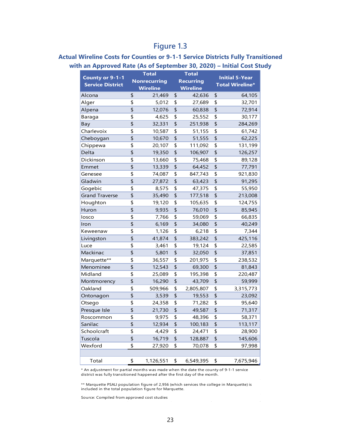#### **Actual Wireline Costs for Counties or 9-1-1 Service Districts Fully Transitioned with an Approved Rate (As of September 30, 2020) – Initial Cost Study**

|                                                   |                           | <b>Total</b>        | <b>Total</b>     |                           | <b>Initial 5-Year</b>  |
|---------------------------------------------------|---------------------------|---------------------|------------------|---------------------------|------------------------|
| <b>County or 9-1-1</b><br><b>Service District</b> |                           | <b>Nonrecurring</b> | <b>Recurring</b> |                           | <b>Total Wireline*</b> |
|                                                   |                           | <b>Wireline</b>     | <b>Wireline</b>  |                           |                        |
| Alcona                                            | \$                        | 21,469              | \$<br>42,636     | \$                        | 64,105                 |
| Alger                                             | \$                        | 5,012               | \$<br>27,689     | \$                        | 32,701                 |
| Alpena                                            | \$                        | 12,076              | \$<br>60,838     | \$                        | 72,914                 |
| Baraga                                            | \$                        | 4,625               | \$<br>25,552     | \$                        | 30,177                 |
| Bay                                               | \$                        | 32,331              | \$<br>251,938    | \$                        | 284,269                |
| Charlevoix                                        | \$                        | 10,587              | \$<br>51,155     | \$                        | 61,742                 |
| Cheboygan                                         | \$                        | 10,670              | \$<br>51,555     | \$                        | 62,225                 |
| Chippewa                                          | \$                        | 20,107              | \$<br>111,092    | \$                        | 131,199                |
| Delta                                             | \$                        | 19,350              | \$<br>106,907    | \$                        | 126,257                |
| Dickinson                                         | \$                        | 13,660              | \$<br>75,468     | \$                        | 89,128                 |
| Emmet                                             | \$                        | 13,339              | \$<br>64,452     | \$                        | 77,791                 |
| Genesee                                           | \$                        | 74,087              | \$<br>847,743    | \$                        | 921,830                |
| Gladwin                                           | $\overline{\mathsf{L}}$   | 27,872              | \$<br>63,423     | \$                        | 91,295                 |
| Gogebic                                           | \$                        | 8,575               | \$<br>47,375     | \$                        | 55,950                 |
| <b>Grand Traverse</b>                             | \$                        | 35,490              | \$<br>177,518    | \$                        | 213,008                |
| Houghton                                          | \$                        | 19,120              | \$<br>105,635    | \$                        | 124,755                |
| Huron                                             | \$                        | 9,935               | \$<br>76,010     | \$                        | 85,945                 |
| losco                                             | \$                        | 7,766               | \$<br>59,069     | \$                        | 66,835                 |
| Iron                                              | \$                        | 6,169               | \$<br>34,080     | \$                        | 40,249                 |
| Keweenaw                                          | \$                        | 1,126               | \$<br>6,218      | \$                        | 7,344                  |
| Livingston                                        | \$                        | 41,874              | \$<br>383,242    | \$                        | 425,116                |
| Luce                                              | \$                        | 3,461               | \$<br>19,124     | \$                        | 22,585                 |
| Mackinac                                          | \$                        | 5,801               | \$<br>32,050     | \$                        | 37,851                 |
| Marquette**                                       | \$                        | 36,557              | \$<br>201,975    | \$                        | 238,532                |
| Menominee                                         | \$                        | 12,543              | \$<br>69,300     | \$                        | 81,843                 |
| Midland                                           | \$                        | 25,089              | \$<br>195,398    | \$                        | 220,487                |
| Montmorency                                       | \$                        | 16,290              | \$<br>43,709     | \$                        | 59,999                 |
| Oakland                                           | \$                        | 509,966             | \$<br>2,805,807  | \$                        | 3,315,773              |
| Ontonagon                                         | \$                        | 3,539               | \$<br>19,553     | \$                        | 23,092                 |
| Otsego                                            | \$                        | 24,358              | \$<br>71,282     | \$                        | 95,640                 |
| Presque Isle                                      | \$                        | 21,730              | \$<br>49,587     | \$                        | 71,317                 |
| Roscommon                                         | \$                        | 9,975               | \$<br>48,396     | \$                        | 58,371                 |
| Sanilac                                           | \$                        | 12,934              | \$<br>100,183    | \$                        | 113,117                |
| Schoolcraft                                       | \$                        | 4,429               | \$<br>24,471     | \$                        | 28,900                 |
| Tuscola                                           | $\overline{\mathfrak{s}}$ | 16,719              | \$<br>128,887    | $\overline{\mathfrak{s}}$ | 145,606                |
| Wexford                                           | \$                        | 27,920              | \$<br>70,078     | \$                        | 97,998                 |
|                                                   |                           |                     |                  |                           |                        |
| Total                                             | \$                        | 1,126,551           | \$<br>6,549,395  | \$                        | 7,675,946              |

\* An adjustment for partial months was made when the date the county of 9-1-1 service district was fully transitioned happened after the first day of the month.

\*\* Marquette PSALI population figure of 2,956 (which services the college in Marquette) is included in the total population figure for Marquette.

Source: Compiled from approved cost studies

 $\overline{\phantom{a}}$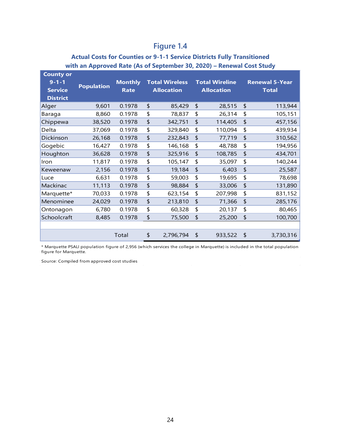#### **Actual Costs for Counties or 9-1-1 Service Districts Fully Transitioned with an Approved Rate (As of September 30, 2020) – Renewal Cost Study**

| <b>County or</b> |                   |                |               |                       |                   |                       |              |                       |
|------------------|-------------------|----------------|---------------|-----------------------|-------------------|-----------------------|--------------|-----------------------|
| $9 - 1 - 1$      | <b>Population</b> | <b>Monthly</b> |               | <b>Total Wireless</b> |                   | <b>Total Wireline</b> |              | <b>Renewal 5-Year</b> |
| <b>Service</b>   |                   | <b>Rate</b>    |               | <b>Allocation</b>     | <b>Allocation</b> |                       | <b>Total</b> |                       |
| <b>District</b>  |                   |                |               |                       |                   |                       |              |                       |
| Alger            | 9,601             | 0.1978         | \$            | 85,429                | \$                | 28,515                | \$           | 113,944               |
| <b>Baraga</b>    | 8,860             | 0.1978         | \$            | 78,837                | \$                | 26,314                | \$           | 105,151               |
| Chippewa         | 38,520            | 0.1978         | $\frac{1}{2}$ | 342,751               | \$                | 114,405               | \$           | 457,156               |
| Delta            | 37,069            | 0.1978         | \$            | 329,840               | \$                | 110,094               | \$           | 439,934               |
| Dickinson        | 26,168            | 0.1978         | \$            | 232,843               | \$                | 77,719                | \$           | 310,562               |
| Gogebic          | 16,427            | 0.1978         | \$            | 146,168               | \$                | 48,788                | \$           | 194,956               |
| Houghton         | 36,628            | 0.1978         | \$            | 325,916               | \$                | 108,785               | \$           | 434,701               |
| Iron             | 11,817            | 0.1978         | \$            | 105,147               | \$                | 35,097                | \$           | 140,244               |
| Keweenaw         | 2,156             | 0.1978         | \$            | 19,184                | \$                | 6,403                 | \$           | 25,587                |
| Luce             | 6,631             | 0.1978         | \$            | 59,003                | \$                | 19,695                | \$           | 78,698                |
| Mackinac         | 11,113            | 0.1978         | $\frac{1}{2}$ | 98,884                | \$                | 33,006                | \$           | 131,890               |
| Marquette*       | 70,033            | 0.1978         | \$            | 623,154               | \$                | 207,998               | \$           | 831,152               |
| Menominee        | 24,029            | 0.1978         | \$            | 213,810               | \$                | 71,366                | \$           | 285,176               |
| Ontonagon        | 6,780             | 0.1978         | \$            | 60,328                | \$                | 20,137                | \$           | 80,465                |
| Schoolcraft      | 8,485             | 0.1978         | \$            | 75,500                | \$                | 25,200                | \$           | 100,700               |
|                  |                   |                |               |                       |                   |                       |              |                       |
|                  |                   | Total          | \$            | 2,796,794             | \$                | 933,522               | \$           | 3,730,316             |

\* Marquette PSALI population figure of 2,956 (which services the college in Marquette) is included in the total population figure for Marquette.

 $\mathcal{L}^{\mathcal{L}}$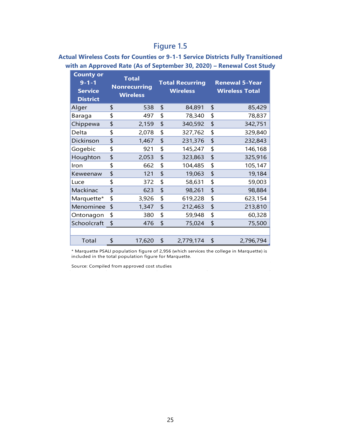#### **Actual Wireless Costs for Counties or 9-1-1 Service Districts Fully Transitioned with an Approved Rate (As of September 30, 2020) – Renewal Cost Study**

| <b>County or</b><br>$9 - 1 - 1$<br><b>Service</b><br><b>District</b> | <b>Total</b><br><b>Nonrecurring</b><br><b>Wireless</b> | <b>Total Recurring</b><br><b>Wireless</b> | <b>Renewal 5-Year</b><br><b>Wireless Total</b> |
|----------------------------------------------------------------------|--------------------------------------------------------|-------------------------------------------|------------------------------------------------|
| Alger                                                                | \$<br>538                                              | \$<br>84,891                              | \$<br>85,429                                   |
| Baraga                                                               | \$<br>497                                              | \$<br>78,340                              | \$<br>78,837                                   |
| Chippewa                                                             | \$<br>2,159                                            | \$<br>340,592                             | \$<br>342,751                                  |
| Delta                                                                | \$<br>2,078                                            | \$<br>327,762                             | \$<br>329,840                                  |
| Dickinson                                                            | \$<br>1,467                                            | \$<br>231,376                             | \$<br>232,843                                  |
| Gogebic                                                              | \$<br>921                                              | \$<br>145,247                             | \$<br>146,168                                  |
| Houghton                                                             | \$<br>2,053                                            | \$<br>323,863                             | \$<br>325,916                                  |
| Iron                                                                 | \$<br>662                                              | \$<br>104,485                             | \$<br>105,147                                  |
| Keweenaw                                                             | \$<br>121                                              | \$<br>19,063                              | \$<br>19,184                                   |
| Luce                                                                 | \$<br>372                                              | \$<br>58,631                              | \$<br>59,003                                   |
| Mackinac                                                             | \$<br>623                                              | \$<br>98,261                              | \$<br>98,884                                   |
| Marquette*                                                           | \$<br>3,926                                            | \$<br>619,228                             | \$<br>623,154                                  |
| Menominee                                                            | \$<br>1,347                                            | \$<br>212,463                             | \$<br>213,810                                  |
| Ontonagon                                                            | \$<br>380                                              | \$<br>59,948                              | \$<br>60,328                                   |
| Schoolcraft                                                          | \$<br>476                                              | \$<br>75,024                              | \$<br>75,500                                   |
|                                                                      |                                                        |                                           |                                                |
| Total                                                                | \$<br>17,620                                           | \$<br>2,779,174                           | \$<br>2,796,794                                |

\* Marquette PSALI population figure of 2,956 (which services the college in Marquette) is included in the total population figure for Marquette.

 $\mathcal{A}$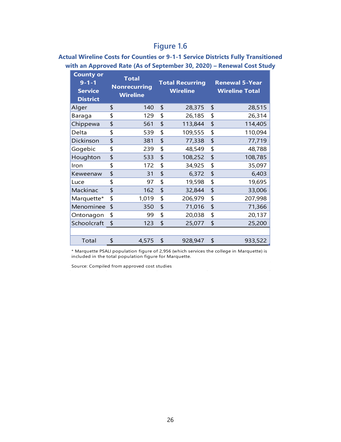#### **Actual Wireline Costs for Counties or 9-1-1 Service Districts Fully Transitioned with an Approved Rate (As of September 30, 2020) – Renewal Cost Study**

| <b>County or</b><br>$9 - 1 - 1$<br><b>Service</b><br><b>District</b> | <b>Total</b><br><b>Nonrecurring</b><br><b>Wireline</b> |       |    | <b>Total Recurring</b><br><b>Wireline</b> | <b>Renewal 5-Year</b><br><b>Wireline Total</b> |         |  |  |  |
|----------------------------------------------------------------------|--------------------------------------------------------|-------|----|-------------------------------------------|------------------------------------------------|---------|--|--|--|
| Alger                                                                | \$                                                     | 140   | \$ | 28,375                                    | \$                                             | 28,515  |  |  |  |
| Baraga                                                               | \$                                                     | 129   | \$ | 26,185                                    | \$                                             | 26,314  |  |  |  |
| Chippewa                                                             | \$                                                     | 561   | \$ | 113,844                                   | \$                                             | 114,405 |  |  |  |
| Delta                                                                | \$                                                     | 539   | \$ | 109,555                                   | \$                                             | 110,094 |  |  |  |
| Dickinson                                                            | \$                                                     | 381   | \$ | 77,338                                    | \$                                             | 77,719  |  |  |  |
| Gogebic                                                              | \$                                                     | 239   | \$ | 48,549                                    | \$                                             | 48,788  |  |  |  |
| Houghton                                                             | \$                                                     | 533   | \$ | 108,252                                   | \$                                             | 108,785 |  |  |  |
| Iron                                                                 | \$                                                     | 172   | \$ | 34,925                                    | \$                                             | 35,097  |  |  |  |
| Keweenaw                                                             | \$                                                     | 31    | \$ | 6,372                                     | \$                                             | 6,403   |  |  |  |
| Luce                                                                 | \$                                                     | 97    | \$ | 19,598                                    | \$                                             | 19,695  |  |  |  |
| Mackinac                                                             | \$                                                     | 162   | \$ | 32,844                                    | \$                                             | 33,006  |  |  |  |
| Marquette*                                                           | \$                                                     | 1,019 | \$ | 206,979                                   | \$                                             | 207,998 |  |  |  |
| Menominee                                                            | \$                                                     | 350   | \$ | 71,016                                    | \$                                             | 71,366  |  |  |  |
| Ontonagon                                                            | \$                                                     | 99    | \$ | 20,038                                    | \$                                             | 20,137  |  |  |  |
| Schoolcraft                                                          | \$                                                     | 123   | \$ | 25,077                                    | \$                                             | 25,200  |  |  |  |
|                                                                      |                                                        |       |    |                                           |                                                |         |  |  |  |
| Total                                                                | \$                                                     | 4,575 | \$ | 928,947                                   | \$                                             | 933,522 |  |  |  |

\* Marquette PSALI population figure of 2,956 (which services the college in Marquette) is included in the total population figure for Marquette.

 $\bar{\omega}$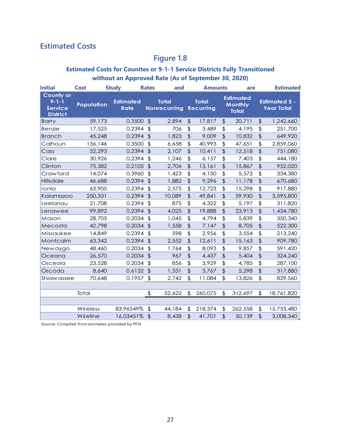# <span id="page-32-0"></span>**Estimated Costs**

# **Figure 1.8**

#### **Estimated Costs for Counites or 9-1-1 Service Districts Fully Transitioned without an Approved Rate (As of September 30, 2020)**

| <b>Initial</b>                                                       | <b>Cost</b>       | <b>Study</b> |                                 | <b>Rates</b>          | and                                 |                           | <b>Amounts</b>                   |                           | are                                                |                 | <b>Estimated</b>                          |  |
|----------------------------------------------------------------------|-------------------|--------------|---------------------------------|-----------------------|-------------------------------------|---------------------------|----------------------------------|---------------------------|----------------------------------------------------|-----------------|-------------------------------------------|--|
| <b>County or</b><br>$9 - 1 - 1$<br><b>Service</b><br><b>District</b> | <b>Population</b> |              | <b>Estimated</b><br><b>Rate</b> |                       | <b>Total</b><br><b>Nonrecurring</b> |                           | <b>Total</b><br><b>Recurring</b> |                           | <b>Estimated</b><br><b>Monthly</b><br><b>Total</b> |                 | <b>Estimated 5 -</b><br><b>Year Total</b> |  |
| <b>Barry</b>                                                         | 59,173            |              | 0.3500                          | $\mathfrak{L}$        | 2,894                               | $\frac{1}{2}$             | 17,817                           | $\boldsymbol{\mathsf{L}}$ | 20,711                                             | $\frac{1}{2}$   | 1,242,660                                 |  |
| <b>Benzie</b>                                                        | 17,525            |              | 0.2394                          | $\frac{1}{2}$         | 706                                 | $\frac{4}{5}$             | 3,489                            | $\frac{4}{5}$             | 4,195                                              | $\frac{1}{2}$   | 251,700                                   |  |
| <b>Branch</b>                                                        | 45,248            |              | 0.2394                          | $\sqrt{2}$            | 1,823                               | $\frac{1}{2}$             | 9,009                            | $\frac{1}{2}$             | 10,832                                             | $\frac{1}{2}$   | 649,920                                   |  |
| Calhoun                                                              | 136,146           |              | 0.3500                          | $\boldsymbol{\theta}$ | 6,658                               | $\frac{1}{2}$             | 40,993                           | $\frac{4}{5}$             | 47,651                                             | \$              | 2,859,060                                 |  |
| Cass                                                                 | 52,293            |              | 0.2394                          | $\sqrt{2}$            | 2,107                               | $\frac{1}{2}$             | 10,411                           | $\frac{1}{2}$             | 12,518                                             | \$              | 751,080                                   |  |
| Clare                                                                | 30,926            |              | 0.2394                          | $\sqrt{2}$            | 1,246                               | $\frac{1}{2}$             | 6,157                            | \$                        | 7,403                                              | $\mathfrak{P}$  | 444,180                                   |  |
| Clinton                                                              | 75,382            |              | 0.2105                          | $\sqrt{2}$            | 2,706                               | \$                        | 13,161                           | \$                        | 15,867                                             | \$              | 952,020                                   |  |
| Crawford                                                             | 14,074            |              | 0.3960                          | $\boldsymbol{\theta}$ | 1,423                               | \$                        | 4,150                            | $\frac{4}{5}$             | 5,573                                              | \$              | 334,380                                   |  |
| Hillsdale                                                            | 46,688            |              | 0.2394                          | $\mathfrak{D}$        | 1,882                               | $\sqrt{2}$                | 9,296                            | $\frac{1}{2}$             | 11,178                                             | $\ddot{\theta}$ | 670,680                                   |  |
| Ionia                                                                | 63,905            |              | 0.2394                          | $\boldsymbol{\beta}$  | 2,575                               | $\frac{1}{2}$             | 12,723                           | $\frac{1}{2}$             | 15,298                                             | \$              | 917,880                                   |  |
| Kalamazoo                                                            | 250,331           |              | 0.2394                          | $\sqrt{2}$            | 10,089                              | \$                        | 49,841                           | \$                        | 59,930                                             | \$              | 3,595,800                                 |  |
| Leelanau                                                             | 21,708            |              | 0.2394                          | $\boldsymbol{\theta}$ | 875                                 | $\frac{4}{5}$             | 4,322                            | \$                        | 5,197                                              | \$              | 311,820                                   |  |
| Lenawee                                                              | 99,892            |              | 0.2394                          | $\sqrt{2}$            | 4,025                               | \$                        | 19,888                           | \$                        | 23,913                                             | \$              | 1,434,780                                 |  |
| Mason                                                                | 28,705            |              | 0.2034                          | $\frac{1}{2}$         | 1,045                               | $\frac{1}{2}$             | 4,794                            | $\frac{4}{5}$             | 5,839                                              | $\frac{1}{2}$   | 350,340                                   |  |
| Mecosta                                                              | 42,798            |              | 0.2034                          | $\sqrt{2}$            | 1,558                               | $\frac{1}{2}$             | 7,147                            | $\frac{1}{2}$             | 8,705                                              | \$              | 522,300                                   |  |
| Missaukee                                                            | 14,849            |              | 0.2394                          | $\boldsymbol{\beta}$  | 598                                 | \$                        | 2,956                            | \$                        | 3,554                                              | $\frac{4}{5}$   | 213,240                                   |  |
| Montcalm                                                             | 63,342            |              | 0.2394                          | $\sqrt{2}$            | 2,552                               | \$                        | 12,611                           | \$                        | 15,163                                             | \$              | 909,780                                   |  |
| Newaygo                                                              | 48,460            |              | 0.2034                          | $\boldsymbol{\theta}$ | 1,764                               | \$                        | 8,093                            | $\frac{4}{5}$             | 9,857                                              | \$              | 591,420                                   |  |
| Oceana                                                               | 26,570            |              | 0.2034                          | $\sqrt{2}$            | 967                                 | \$                        | 4,437                            | $\frac{4}{5}$             | 5,404                                              | \$              | 324,240                                   |  |
| Osceola                                                              | 23,528            |              | 0.2034                          | $\boldsymbol{\theta}$ | 856                                 | $\frac{1}{2}$             | 3,929                            | $\frac{4}{5}$             | 4,785                                              | \$              | 287,100                                   |  |
| Oscoda                                                               | 8,640             |              | 0.6132                          | $\mathfrak{D}$        | 1,531                               | $\ddot{\theta}$           | 3,767                            | $\frac{1}{2}$             | 5,298                                              | $\frac{1}{2}$   | 317,880                                   |  |
| Shiawassee                                                           | 70,648            |              | 0.1957                          | $\frac{1}{2}$         | 2,742                               | $\boldsymbol{\mathsf{L}}$ | 11,084                           | $\boldsymbol{\mathsf{L}}$ | 13,826                                             | $\frac{1}{2}$   | 829,560                                   |  |
|                                                                      |                   |              |                                 |                       |                                     |                           |                                  |                           |                                                    |                 |                                           |  |
|                                                                      | Total             |              |                                 | $\frac{1}{2}$         | 52,622                              | \$                        | 260,075                          | \$                        | 312,697                                            | \$              | 18,761,820                                |  |
|                                                                      |                   |              |                                 |                       |                                     |                           |                                  |                           |                                                    |                 |                                           |  |
|                                                                      | Wireless          |              | 83.96549%                       | \$                    | 44,184                              | \$                        | 218,374                          | \$                        | 262,558                                            | \$              | 15,753,480                                |  |
|                                                                      | Wireline          |              | 16.03451%                       | $\sqrt{2}$            | 8,438                               | $\sqrt{2}$                | 41,701                           | $\frac{1}{2}$             | 50,139                                             | \$              | 3,008,340                                 |  |

Source: Compiled from estimates provided by PFN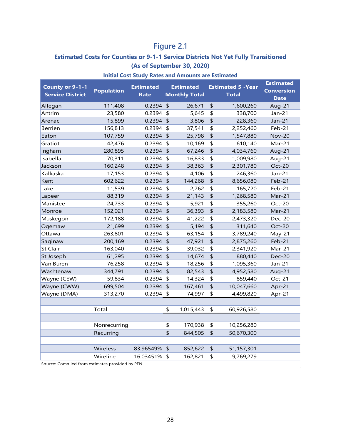# **Figure 2.1**

#### **Estimated Costs for Counties or 9-1-1 Service Districts Not Yet Fully Transitioned (As of September 30, 2020)**

| County or 9-1-1<br><b>Service District</b> | <b>Population</b> | <b>Estimated</b><br><b>Rate</b> |            | <b>Estimated</b><br><b>Monthly Total</b> | <b>Estimated 5 - Year</b><br><b>Total</b> | <b>Estimated</b><br><b>Conversion</b><br><b>Date</b> |
|--------------------------------------------|-------------------|---------------------------------|------------|------------------------------------------|-------------------------------------------|------------------------------------------------------|
| Allegan                                    | 111,408           | $0.2394$ \$                     |            | 26,671                                   | \$<br>1,600,260                           | Aug-21                                               |
| Antrim                                     | 23,580            | $0.2394$ \$                     |            | 5,645                                    | \$<br>338,700                             | Jan-21                                               |
| Arenac                                     | 15,899            | $0.2394$ \$                     |            | 3,806                                    | \$<br>228,360                             | Jan-21                                               |
| <b>Berrien</b>                             | 156,813           | $0.2394$ \$                     |            | 37,541                                   | \$<br>2,252,460                           | Feb-21                                               |
| Eaton                                      | 107,759           | $0.2394$ \$                     |            | 25,798                                   | \$<br>1,547,880                           | <b>Nov-20</b>                                        |
| Gratiot                                    | 42,476            | 0.2394 \$                       |            | 10,169                                   | \$<br>610,140                             | Mar-21                                               |
| Ingham                                     | 280,895           | $0.2394$ \$                     |            | 67,246                                   | \$<br>4,034,760                           | Aug-21                                               |
| Isabella                                   | 70,311            | 0.2394 \$                       |            | 16,833                                   | \$<br>1,009,980                           | Aug-21                                               |
| Jackson                                    | 160,248           | $0.2394$ \$                     |            | 38,363                                   | \$<br>2,301,780                           | Oct-20                                               |
| Kalkaska                                   | 17,153            | 0.2394                          | $\sqrt{2}$ | 4,106                                    | \$<br>246,360                             | $Jan-21$                                             |
| Kent                                       | 602,622           | $0.2394$ \$                     |            | 144,268                                  | \$<br>8,656,080                           | $Feb-21$                                             |
| Lake                                       | 11,539            | 0.2394                          | $\sqrt{2}$ | 2,762                                    | \$<br>165,720                             | Feb-21                                               |
| Lapeer                                     | 88,319            | $0.2394$ \$                     |            | 21,143                                   | \$<br>1,268,580                           | Mar-21                                               |
| Manistee                                   | 24,733            | 0.2394                          | $\sqrt{2}$ | 5,921                                    | \$<br>355,260                             | Oct-20                                               |
| Monroe                                     | 152,021           | $0.2394$ \$                     |            | 36,393                                   | \$<br>2,183,580                           | Mar-21                                               |
| Muskegon                                   | 172,188           | 0.2394                          | $\sqrt{2}$ | 41,222                                   | \$<br>2,473,320                           | Dec-20                                               |
| Ogemaw                                     | 21,699            | 0.2394                          | $\sqrt{2}$ | 5,194                                    | \$<br>311,640                             | Oct-20                                               |
| Ottawa                                     | 263,801           | 0.2394                          | $\sqrt{2}$ | 63,154                                   | \$<br>3,789,240                           | May-21                                               |
| Saginaw                                    | 200,169           | 0.2394                          | $\sqrt{2}$ | 47,921                                   | \$<br>2,875,260                           | Feb-21                                               |
| <b>St Clair</b>                            | 163,040           | 0.2394                          | $\sqrt{2}$ | 39,032                                   | \$<br>2,341,920                           | Mar-21                                               |
| St Joseph                                  | 61,295            | 0.2394                          | $\sqrt{2}$ | 14,674                                   | \$<br>880,440                             | <b>Dec-20</b>                                        |
| Van Buren                                  | 76,258            | 0.2394                          | $\sqrt{2}$ | 18,256                                   | \$<br>1,095,360                           | Jan-21                                               |
| Washtenaw                                  | 344,791           | 0.2394                          | $\sqrt{2}$ | 82,543                                   | \$<br>4,952,580                           | Aug-21                                               |
| Wayne (CEW)                                | 59,834            | 0.2394                          | $\sqrt{2}$ | 14,324                                   | \$<br>859,440                             | Oct-21                                               |
| Wayne (CWW)                                | 699,504           | 0.2394                          | $\sqrt{2}$ | 167,461                                  | \$<br>10,047,660                          | Apr-21                                               |
| Wayne (DMA)                                | 313,270           | 0.2394                          | $\sqrt{2}$ | 74,997                                   | \$<br>4,499,820                           | Apr-21                                               |
|                                            |                   |                                 |            |                                          |                                           |                                                      |
|                                            | Total             |                                 | \$         | 1,015,443                                | \$<br>60,926,580                          |                                                      |
|                                            |                   |                                 |            |                                          |                                           |                                                      |
|                                            | Nonrecurring      |                                 | \$         | 170,938                                  | \$<br>10,256,280                          |                                                      |
|                                            | Recurring         |                                 | \$         | 844,505                                  | \$<br>50,670,300                          |                                                      |
|                                            |                   |                                 |            |                                          |                                           |                                                      |
|                                            | Wireless          | 83.96549% \$                    |            | 852,622                                  | \$<br>51,157,301                          |                                                      |
|                                            | Wireline          | 16.03451% \$                    |            | 162,821                                  | \$<br>9,769,279                           |                                                      |
|                                            |                   |                                 |            |                                          |                                           |                                                      |

#### **Initial Cost Study Rates and Amounts are Estimated**

Source: Compiled from estimates provided by PFN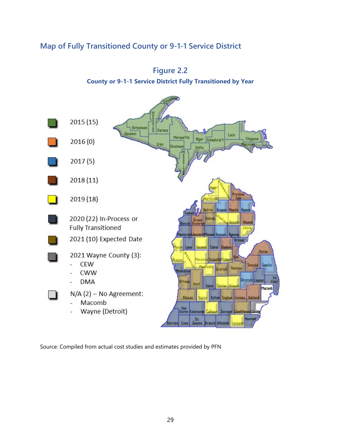# <span id="page-34-0"></span>**Map of Fully Transitioned County or 9-1-1 Service District**





Source: Compiled from actual cost studies and estimates provided by PFN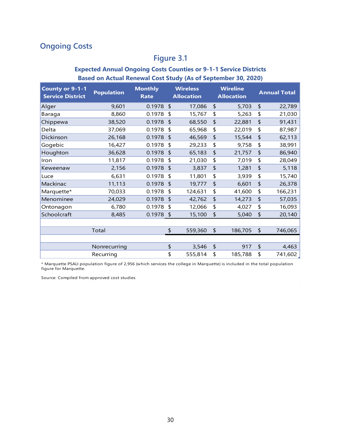# <span id="page-35-0"></span>**Ongoing Costs**

# **Figure 3.1**

#### **Expected Annual Ongoing Costs Counties or 9-1-1 Service Districts Based on Actual Renewal Cost Study (As of September 30, 2020)**

| <b>County or 9-1-1</b><br><b>Service District</b> | <b>Population</b> | <b>Monthly</b><br><b>Rate</b> | <b>Wireless</b><br><b>Allocation</b> |               | <b>Wireline</b><br><b>Allocation</b> | <b>Annual Total</b> |
|---------------------------------------------------|-------------------|-------------------------------|--------------------------------------|---------------|--------------------------------------|---------------------|
| Alger                                             | 9,601             | 0.1978                        | \$<br>17,086                         | \$            | 5,703                                | \$<br>22,789        |
| Baraga                                            | 8,860             | 0.1978                        | \$<br>15,767                         | \$            | 5,263                                | \$<br>21,030        |
| Chippewa                                          | 38,520            | 0.1978                        | \$<br>68,550                         | \$            | 22,881                               | \$<br>91,431        |
| Delta                                             | 37,069            | 0.1978                        | \$<br>65,968                         | \$            | 22,019                               | \$<br>87,987        |
| Dickinson                                         | 26,168            | 0.1978                        | \$<br>46,569                         | \$            | 15,544                               | \$<br>62,113        |
| Gogebic                                           | 16,427            | 0.1978                        | \$<br>29,233                         | \$            | 9,758                                | \$<br>38,991        |
| Houghton                                          | 36,628            | 0.1978                        | \$<br>65,183                         | \$            | 21,757                               | \$<br>86,940        |
| Iron                                              | 11,817            | 0.1978                        | \$<br>21,030                         | \$            | 7,019                                | \$<br>28,049        |
| Keweenaw                                          | 2,156             | 0.1978                        | \$<br>3,837                          | \$            | 1,281                                | \$<br>5,118         |
| Luce                                              | 6,631             | 0.1978                        | \$<br>11,801                         | \$            | 3,939                                | \$<br>15,740        |
| Mackinac                                          | 11,113            | 0.1978                        | \$<br>19,777                         | \$            | 6,601                                | \$<br>26,378        |
| Marquette*                                        | 70,033            | 0.1978                        | \$<br>124,631                        | \$            | 41,600                               | \$<br>166,231       |
| Menominee                                         | 24,029            | 0.1978                        | \$<br>42,762                         | \$            | 14,273                               | \$<br>57,035        |
| Ontonagon                                         | 6,780             | 0.1978                        | \$<br>12,066                         | \$            | 4,027                                | \$<br>16,093        |
| Schoolcraft                                       | 8,485             | 0.1978                        | \$<br>15,100                         | \$            | 5,040                                | \$<br>20,140        |
|                                                   |                   |                               |                                      |               |                                      |                     |
|                                                   | Total             |                               | \$<br>559,360                        | $\frac{1}{2}$ | 186,705                              | \$<br>746,065       |
|                                                   |                   |                               |                                      |               |                                      |                     |
|                                                   | Nonrecurring      |                               | \$<br>3,546                          | $\frac{1}{2}$ | 917                                  | \$<br>4,463         |
|                                                   | Recurring         |                               | \$<br>555,814                        | \$            | 185,788                              | \$<br>741,602       |

\* Marquette PSALI population figure of 2,956 (which services the college in Marquette) is included in the total population figure for Marquette.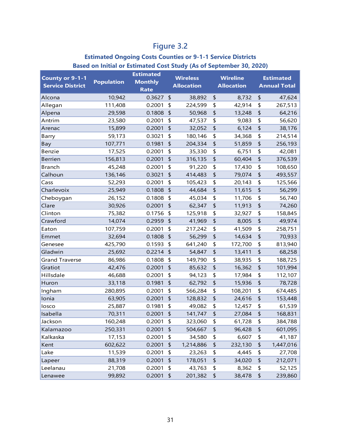# **Figure 3.2**

#### **Estimated Ongoing Costs Counties or 9-1-1 Service Districts Based on Initial or Estimated Cost Study (As of September 30, 2020)**

| <b>County or 9-1-1</b>  |                   | <b>Estimated</b> |               | <b>Wireless</b>   |                             | <b>Wireline</b>   | <b>Estimated</b> |                     |  |  |
|-------------------------|-------------------|------------------|---------------|-------------------|-----------------------------|-------------------|------------------|---------------------|--|--|
| <b>Service District</b> | <b>Population</b> | <b>Monthly</b>   |               | <b>Allocation</b> |                             | <b>Allocation</b> |                  | <b>Annual Total</b> |  |  |
|                         |                   | <b>Rate</b>      |               |                   |                             |                   |                  |                     |  |  |
| Alcona                  | 10,942            | 0.3627           | $\sqrt{2}$    | 38,892            | \$                          | 8,732             | \$               | 47,624              |  |  |
| Allegan                 | 111,408           | 0.2001           | \$            | 224,599           | \$                          | 42,914            | \$               | 267,513             |  |  |
| Alpena                  | 29,598            | 0.1808           | $\frac{1}{2}$ | 50,968            | $\frac{1}{2}$               | 13,248            | \$               | 64,216              |  |  |
| Antrim                  | 23,580            | 0.2001           | \$            | 47,537            | \$                          | 9,083             | \$               | 56,620              |  |  |
| Arenac                  | 15,899            | 0.2001           | \$            | 32,052            | \$                          | 6,124             | \$               | 38,176              |  |  |
| Barry                   | 59,173            | 0.3021           | \$            | 180,146           | \$                          | 34,368            | \$               | 214,514             |  |  |
| Bay                     | 107,771           | 0.1981           | \$            | 204,334           | \$                          | 51,859            | \$               | 256,193             |  |  |
| Benzie                  | 17,525            | 0.2001           | \$            | 35,330            | \$                          | 6,751             | \$               | 42,081              |  |  |
| <b>Berrien</b>          | 156,813           | 0.2001           | \$            | 316,135           | \$                          | 60,404            | \$               | 376,539             |  |  |
| <b>Branch</b>           | 45,248            | 0.2001           | \$            | 91,220            | \$                          | 17,430            | \$               | 108,650             |  |  |
| Calhoun                 | 136,146           | 0.3021           | \$            | 414,483           | $\frac{1}{2}$               | 79,074            | \$               | 493,557             |  |  |
| Cass                    | 52,293            | 0.2001           | $\frac{1}{2}$ | 105,423           | \$                          | 20,143            | \$               | 125,566             |  |  |
| Charlevoix              | 25,949            | 0.1808           | $\frac{1}{2}$ | 44,684            | \$                          | 11,615            | \$               | 56,299              |  |  |
| Cheboygan               | 26,152            | 0.1808           | $\frac{1}{2}$ | 45,034            | \$                          | 11,706            | \$               | 56,740              |  |  |
| Clare                   | 30,926            | 0.2001           | $\frac{1}{2}$ | 62,347            | $\boldsymbol{\updownarrow}$ | 11,913            | \$               | 74,260              |  |  |
| Clinton                 | 75,382            | 0.1756           | $\frac{1}{2}$ | 125,918           | \$                          | 32,927            | \$               | 158,845             |  |  |
| Crawford                | 14,074            | 0.2959           | $\frac{1}{2}$ | 41,969            | $\frac{1}{2}$               | 8,005             | \$               | 49,974              |  |  |
| Eaton                   | 107,759           | 0.2001           | \$            | 217,242           | \$                          | 41,509            | \$               | 258,751             |  |  |
| Emmet                   | 32,694            | 0.1808           | $\sqrt{2}$    | 56,299            | \$                          | 14,634            | \$               | 70,933              |  |  |
| Genesee                 | 425,790           | 0.1593           | $\frac{1}{2}$ | 641,240           | \$                          | 172,700           | \$               | 813,940             |  |  |
| Gladwin                 | 25,692            | 0.2214           | $\sqrt{2}$    | 54,847            | \$                          | 13,411            | \$               | 68,258              |  |  |
| <b>Grand Traverse</b>   | 86,986            | 0.1808           | \$            | 149,790           | \$                          | 38,935            | \$               | 188,725             |  |  |
| Gratiot                 | 42,476            | 0.2001           | \$            | 85,632            | \$                          | 16,362            | \$               | 101,994             |  |  |
| Hillsdale               | 46,688            | 0.2001           | \$            | 94,123            | \$                          | 17,984            | \$               | 112,107             |  |  |
| Huron                   | 33,118            | 0.1981           | \$            | 62,792            | \$                          | 15,936            | \$               | 78,728              |  |  |
| Ingham                  | 280,895           | 0.2001           | \$            | 566,284           | \$                          | 108,201           | \$               | 674,485             |  |  |
| Ionia                   | 63,905            | 0.2001           | \$            | 128,832           | \$                          | 24,616            | \$               | 153,448             |  |  |
| losco                   | 25,887            | 0.1981           | \$            | 49,082            | \$                          | 12,457            | \$               | 61,539              |  |  |
| Isabella                | 70,311            | 0.2001           | $\frac{1}{2}$ | 141,747           | \$                          | 27,084            | \$               | 168,831             |  |  |
| Jackson                 | 160,248           | 0.2001           | \$            | 323,060           | \$                          | 61,728            | \$               | 384,788             |  |  |
| Kalamazoo               | 250,331           | 0.2001           | \$            | 504,667           | \$                          | 96,428            | \$               | 601,095             |  |  |
| Kalkaska                | 17,153            | 0.2001           | \$            | 34,580            | \$                          | 6,607             | \$               | 41,187              |  |  |
| Kent                    | 602,622           | 0.2001           | \$            | 1,214,886         | \$                          | 232,130           | \$               | 1,447,016           |  |  |
| Lake                    | 11,539            | 0.2001           | \$            | 23,263            | \$                          | 4,445             | \$               | 27,708              |  |  |
| Lapeer                  | 88,319            | 0.2001           | \$            | 178,051           | \$                          | 34,020            | \$               | 212,071             |  |  |
| Leelanau                | 21,708            | 0.2001           | \$            | 43,763            | \$                          | 8,362             | \$               | 52,125              |  |  |
| Lenawee                 | 99,892            | 0.2001           | $\frac{4}{5}$ | 201,382           | $\pmb{\mathsf{\$}}$         | 38,478            | \$               | 239,860             |  |  |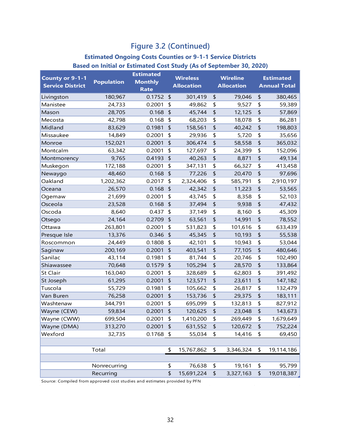# **Figure 3.2 (Continued)**

#### **Estimated Ongoing Costs Counties or 9-1-1 Service Districts Based on Initial or Estimated Cost Study (As of September 30, 2020)**

| <b>County or 9-1-1</b>  |                   | <b>Estimated</b> |               | <b>Wireless</b>   | <b>Wireline</b> |                   |                     | <b>Estimated</b> |  |
|-------------------------|-------------------|------------------|---------------|-------------------|-----------------|-------------------|---------------------|------------------|--|
| <b>Service District</b> | <b>Population</b> | <b>Monthly</b>   |               | <b>Allocation</b> |                 | <b>Allocation</b> | <b>Annual Total</b> |                  |  |
|                         |                   | <b>Rate</b>      |               |                   |                 |                   |                     |                  |  |
| Livingston              | 180,967           | 0.1752           | \$            | 301,419           | \$              | 79,046            | \$                  | 380,465          |  |
| Manistee                | 24,733            | 0.2001           | \$            | 49,862            | \$              | 9,527             | \$<br>\$            | 59,389           |  |
| Mason                   | 28,705            | 0.168            | \$            | 45,744            | \$              | 12,125            |                     | 57,869           |  |
| Mecosta<br>Midland      | 42,798            | 0.168            | \$            | 68,203            | \$<br>\$        | 18,078            | \$<br>\$            | 86,281           |  |
|                         | 83,629            | 0.1981           | \$            | 158,561           |                 | 40,242            |                     | 198,803          |  |
| Missaukee               | 14,849            | 0.2001<br>0.2001 | \$            | 29,936            | \$              | 5,720             | \$<br>\$            | 35,656           |  |
| Monroe                  | 152,021           |                  | \$            | 306,474           | \$              | 58,558            |                     | 365,032          |  |
| Montcalm                | 63,342            | 0.2001           | \$            | 127,697           | \$              | 24,399            | \$<br>\$            | 152,096          |  |
| Montmorency             | 9,765             | 0.4193           | $\frac{1}{2}$ | 40,263            | \$              | 8,871             |                     | 49,134           |  |
| Muskegon                | 172,188           | 0.2001           | \$            | 347,131           | \$              | 66,327            | \$<br>\$            | 413,458          |  |
| Newaygo                 | 48,460            | 0.168            | $\frac{1}{2}$ | 77,226            | \$              | 20,470            |                     | 97,696           |  |
| Oakland                 | 1,202,362         | 0.2017           | \$            | 2,324,406         | \$              | 585,791           | \$                  | 2,910,197        |  |
| Oceana                  | 26,570            | 0.168            | \$            | 42,342            | \$              | 11,223            | \$                  | 53,565           |  |
| Ogemaw                  | 21,699            | 0.2001           | \$            | 43,745            | \$              | 8,358             | \$                  | 52,103           |  |
| Osceola                 | 23,528            | 0.168            | $\frac{1}{2}$ | 37,494            | \$              | 9,938             | \$                  | 47,432           |  |
| Oscoda                  | 8,640             | 0.437            | \$            | 37,149            | \$              | 8,160             | \$                  | 45,309           |  |
| Otsego                  | 24,164            | 0.2709           | \$            | 63,561            | \$              | 14,991            | \$                  | 78,552           |  |
| Ottawa                  | 263,801           | 0.2001           | \$            | 531,823           | \$              | 101,616           | \$                  | 633,439          |  |
| Presque Isle            | 13,376            | 0.346            | $\frac{1}{2}$ | 45,345            | \$              | 10,193            | \$                  | 55,538           |  |
| Roscommon               | 24,449            | 0.1808           | \$            | 42,101            | \$              | 10,943            | \$                  | 53,044           |  |
| Saginaw                 | 200,169           | 0.2001           | \$            | 403,541           | \$              | 77,105            | \$                  | 480,646          |  |
| Sanilac                 | 43,114            | 0.1981           | \$            | 81,744            | \$              | 20,746            | \$                  | 102,490          |  |
| Shiawassee              | 70,648            | 0.1579           | $\frac{1}{2}$ | 105,294           | \$              | 28,570            | \$                  | 133,864          |  |
| St Clair                | 163,040           | 0.2001           | \$            | 328,689           | \$              | 62,803            | \$                  | 391,492          |  |
| St Joseph               | 61,295            | 0.2001           | \$            | 123,571           | \$              | 23,611            | \$                  | 147,182          |  |
| Tuscola                 | 55,729            | 0.1981           | \$            | 105,662           | \$              | 26,817            | \$                  | 132,479          |  |
| Van Buren               | 76,258            | 0.2001           | $\frac{1}{2}$ | 153,736           | \$              | 29,375            | \$                  | 183,111          |  |
| Washtenaw               | 344,791           | 0.2001           | \$            | 695,099           | \$              | 132,813           | \$                  | 827,912          |  |
| Wayne (CEW)             | 59,834            | 0.2001           | \$            | 120,625           | \$              | 23,048            | \$                  | 143,673          |  |
| Wayne (CWW)             | 699,504           | 0.2001           | \$            | 1,410,200         | \$              | 269,449           | \$                  | 1,679,649        |  |
| Wayne (DMA)             | 313,270           | 0.2001           | \$            | 631,552           | \$              | 120,672           | \$                  | 752,224          |  |
| Wexford                 | 32,735            | 0.1768           | \$            | 55,034            | \$              | 14,416            | \$                  | 69,450           |  |
|                         |                   |                  |               |                   |                 |                   |                     |                  |  |
|                         | Total             |                  | \$            | 15,767,862        | \$              | 3,346,324         | \$                  | 19,114,186       |  |
|                         |                   |                  |               |                   |                 |                   |                     |                  |  |
|                         | Nonrecurring      |                  | \$            | 76,638            | \$              | 19,161            | \$                  | 95,799           |  |
|                         | Recurring         |                  | \$            | 15,691,224        | \$              | 3,327,163         | \$                  | 19,018,387       |  |

Source: Compiled from approved cost studies and estimates provided by PFN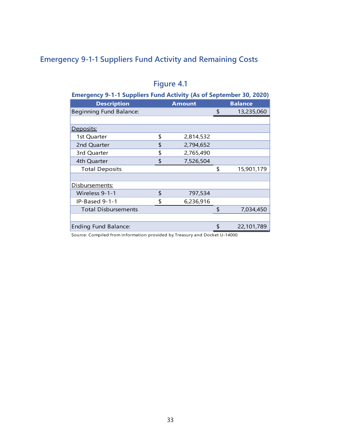# <span id="page-38-0"></span>**Emergency 9-1-1 Suppliers Fund Activity and Remaining Costs**

| <b>Emergency 9-1-1 Suppliers Fund Activity (As of September 30, 2020)</b> |    |               |    |                |  |  |  |  |  |  |  |
|---------------------------------------------------------------------------|----|---------------|----|----------------|--|--|--|--|--|--|--|
| <b>Description</b>                                                        |    | <b>Amount</b> |    | <b>Balance</b> |  |  |  |  |  |  |  |
| Beginning Fund Balance:                                                   |    |               | \$ | 13,235,060     |  |  |  |  |  |  |  |
|                                                                           |    |               |    |                |  |  |  |  |  |  |  |
| Deposits:                                                                 |    |               |    |                |  |  |  |  |  |  |  |
| 1st Quarter                                                               | \$ | 2,814,532     |    |                |  |  |  |  |  |  |  |
| 2nd Quarter                                                               | \$ | 2,794,652     |    |                |  |  |  |  |  |  |  |
| 3rd Quarter                                                               | \$ | 2,765,490     |    |                |  |  |  |  |  |  |  |
| 4th Quarter                                                               | \$ | 7,526,504     |    |                |  |  |  |  |  |  |  |
| <b>Total Deposits</b>                                                     |    |               | \$ | 15,901,179     |  |  |  |  |  |  |  |
|                                                                           |    |               |    |                |  |  |  |  |  |  |  |
| Disbursements:                                                            |    |               |    |                |  |  |  |  |  |  |  |
| Wireless 9-1-1                                                            | \$ | 797,534       |    |                |  |  |  |  |  |  |  |
| IP-Based 9-1-1                                                            | \$ | 6,236,916     |    |                |  |  |  |  |  |  |  |
| <b>Total Disbursements</b>                                                |    |               | \$ | 7,034,450      |  |  |  |  |  |  |  |
|                                                                           |    |               |    |                |  |  |  |  |  |  |  |
| <b>Ending Fund Balance:</b>                                               |    |               | \$ | 22,101,789     |  |  |  |  |  |  |  |

# **Figure 4.1**

Source: Compiled from information provided by Treasury and Docket U-14000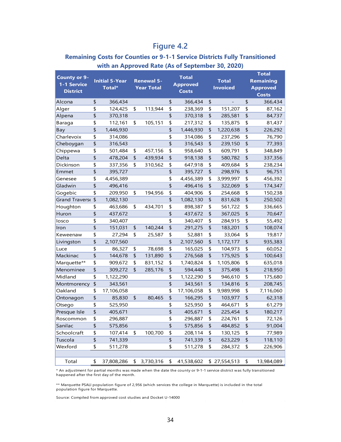# **Figure 4.2**

#### **Remaining Costs for Counties or 9-1-1 Service Districts Fully Transitioned with an Approved Rate (As of September 30, 2020)**

| <b>County or 9-</b><br>1-1 Service<br><b>District</b> | <b>Initial 5-Year</b><br>Total* |            | <b>Renewal 5-</b><br><b>Year Total</b> |           |    | <b>Total</b><br><b>Approved</b><br><b>Costs</b> | <b>Total</b><br><b>Invoiced</b> | <b>Total</b><br><b>Remaining</b><br><b>Approved</b> |              |  |
|-------------------------------------------------------|---------------------------------|------------|----------------------------------------|-----------|----|-------------------------------------------------|---------------------------------|-----------------------------------------------------|--------------|--|
|                                                       |                                 |            |                                        |           |    |                                                 |                                 |                                                     | <b>Costs</b> |  |
| Alcona                                                | \$                              | 366,434    |                                        |           | \$ | 366,434                                         | \$                              | \$                                                  | 366,434      |  |
| Alger                                                 | \$                              | 124,425    | \$                                     | 113,944   | \$ | 238,369                                         | \$<br>151,207                   | \$                                                  | 87,162       |  |
| Alpena                                                | \$                              | 370,318    |                                        |           | \$ | 370,318                                         | \$<br>285,581                   | \$                                                  | 84,737       |  |
| Baraga                                                | \$                              | 112,161    | \$                                     | 105,151   | \$ | 217,312                                         | \$<br>135,875                   | \$                                                  | 81,437       |  |
| Bay                                                   | \$                              | 1,446,930  |                                        |           | \$ | 1,446,930                                       | \$<br>1,220,638                 | \$                                                  | 226,292      |  |
| Charlevoix                                            | \$                              | 314,086    |                                        |           | \$ | 314,086                                         | \$<br>237,296                   | \$                                                  | 76,790       |  |
| Cheboygan                                             | \$                              | 316,543    |                                        |           | \$ | 316,543                                         | \$<br>239,150                   | \$                                                  | 77,393       |  |
| Chippewa                                              | \$                              | 501,484    | \$                                     | 457,156   | \$ | 958,640                                         | \$<br>609,791                   | \$                                                  | 348,849      |  |
| Delta                                                 | \$                              | 478,204    | \$                                     | 439,934   | \$ | 918,138                                         | \$<br>580,782                   | \$                                                  | 337,356      |  |
| Dickinson                                             | \$                              | 337,356    | \$                                     | 310,562   | \$ | 647,918                                         | \$<br>409,684                   | \$                                                  | 238,234      |  |
| Emmet                                                 | \$                              | 395,727    |                                        |           | \$ | 395,727                                         | \$<br>298,976                   | \$                                                  | 96,751       |  |
| Genesee                                               | \$                              | 4,456,389  |                                        |           | \$ | 4,456,389                                       | \$<br>3,999,997                 | \$                                                  | 456,392      |  |
| Gladwin                                               | \$                              | 496,416    |                                        |           | \$ | 496,416                                         | \$<br>322,069                   | \$                                                  | 174,347      |  |
| Gogebic                                               | \$                              | 209,950    | \$                                     | 194,956   | \$ | 404,906                                         | \$<br>254,668                   | \$                                                  | 150,238      |  |
| Grand Traverse                                        | \$                              | 1,082,130  |                                        |           | \$ | 1,082,130                                       | \$<br>831,628                   | \$                                                  | 250,502      |  |
| Houghton                                              | \$                              | 463,686    | \$                                     | 434,701   | \$ | 898,387                                         | \$<br>561,722                   | \$                                                  | 336,665      |  |
| Huron                                                 | \$                              | 437,672    |                                        |           | \$ | 437,672                                         | \$<br>367,025                   | \$                                                  | 70,647       |  |
| losco                                                 | \$                              | 340,407    |                                        |           | \$ | 340,407                                         | \$<br>284,915                   | \$                                                  | 55,492       |  |
| Iron                                                  | \$                              | 151,031    | \$                                     | 140,244   | \$ | 291,275                                         | \$<br>183,201                   | \$                                                  | 108,074      |  |
| Keweenaw                                              | \$                              | 27,294     | \$                                     | 25,587    | \$ | 52,881                                          | \$<br>33,064                    | \$                                                  | 19,817       |  |
| Livingston                                            | \$                              | 2,107,560  |                                        |           | \$ | 2,107,560                                       | \$<br>1,172,177                 | \$                                                  | 935,383      |  |
| Luce                                                  | \$                              | 86,327     | \$                                     | 78,698    | \$ | 165,025                                         | \$<br>104,973                   | \$                                                  | 60,052       |  |
| Mackinac                                              | \$                              | 144,678    | \$                                     | 131,890   | \$ | 276,568                                         | \$<br>175,925                   | \$                                                  | 100,643      |  |
| Marquette**                                           | \$                              | 909,672    | \$                                     | 831,152   | \$ | 1,740,824                                       | \$<br>1,105,806                 | \$                                                  | 635,018      |  |
| Menominee                                             | \$                              | 309,272    | \$                                     | 285,176   | \$ | 594,448                                         | \$<br>375,498                   | \$                                                  | 218,950      |  |
| Midland                                               | \$                              | 1,122,290  |                                        |           | \$ | 1,122,290                                       | \$<br>946,610                   | \$                                                  | 175,680      |  |
| Montmorency                                           | \$                              | 343,561    |                                        |           | \$ | 343,561                                         | \$<br>134,816                   | \$                                                  | 208,745      |  |
| Oakland                                               | \$                              | 17,106,058 |                                        |           | \$ | 17,106,058                                      | \$<br>9,989,998                 | \$                                                  | 7,116,060    |  |
| Ontonagon                                             | \$                              | 85,830     | $\updownarrow$                         | 80,465    | \$ | 166,295                                         | \$<br>103,977                   | \$                                                  | 62,318       |  |
| Otsego                                                | \$                              | 525,950    |                                        |           | \$ | 525,950                                         | \$<br>464,671                   | \$                                                  | 61,279       |  |
| Presque Isle                                          | \$                              | 405,671    |                                        |           | \$ | 405,671                                         | \$<br>225,454                   | \$                                                  | 180,217      |  |
| Roscommon                                             | \$                              | 296,887    |                                        |           | \$ | 296,887                                         | \$<br>224,761                   | \$                                                  | 72,126       |  |
| Sanilac                                               | \$                              | 575,856    |                                        |           | \$ | 575,856                                         | \$<br>484,852                   | \$                                                  | 91,004       |  |
| Schoolcraft                                           | \$                              | 107,414    | \$                                     | 100,700   | \$ | 208,114                                         | \$<br>130,125                   | \$                                                  | 77,989       |  |
| Tuscola                                               | \$                              | 741,339    |                                        |           | \$ | 741,339                                         | \$<br>623,229                   | \$                                                  | 118,110      |  |
| Wexford                                               | \$                              | 511,278    |                                        |           | \$ | 511,278                                         | \$<br>284,372                   | \$                                                  | 226,906      |  |
|                                                       |                                 |            |                                        |           |    |                                                 |                                 |                                                     |              |  |
| Total                                                 | \$                              | 37,808,286 | \$                                     | 3,730,316 | \$ | 41,538,602                                      | \$27,554,513                    | \$                                                  | 13,984,089   |  |

\* An adjustment for partial months was made when the date the county or 9-1-1 service district was fully transitioned happened after the first day of the month.

\*\* Marquette PSALI population figure of 2,956 (which services the college in Marquette) is included in the total population figure for Marquette.

Source: Compiled from approved cost studies and Docket U-14000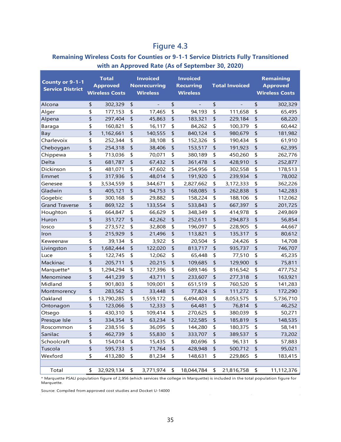# **Figure 4.3**

#### **Remaining Wireless Costs for Counties or 9-1-1 Service Districts Fully Transitioned with an Approved Rate (As of September 30, 2020)**

| <b>County or 9-1-1</b><br><b>Service District</b> | <b>Total</b><br><b>Approved</b><br><b>Wireless Costs</b> |                | <b>Invoiced</b><br><b>Nonrecurring</b><br><b>Wireless</b> | <b>Invoiced</b><br><b>Recurring</b><br><b>Wireless</b> | <b>Total Invoiced</b> |                     | <b>Remaining</b><br><b>Approved</b><br><b>Wireless Costs</b> |
|---------------------------------------------------|----------------------------------------------------------|----------------|-----------------------------------------------------------|--------------------------------------------------------|-----------------------|---------------------|--------------------------------------------------------------|
| Alcona                                            | \$<br>302,329                                            | \$             |                                                           | \$                                                     | \$                    | \$                  | 302,329                                                      |
| Alger                                             | \$<br>177,153                                            | \$             | 17,465                                                    | \$<br>94,193                                           | \$<br>111,658         | \$                  | 65,495                                                       |
| Alpena                                            | \$<br>297,404                                            | \$             | 45,863                                                    | \$<br>183,321                                          | \$<br>229,184         | \$                  | 68,220                                                       |
| Baraga                                            | \$<br>160,821                                            | \$             | 16,117                                                    | \$<br>84,262                                           | \$<br>100,379         | \$                  | 60,442                                                       |
| Bay                                               | \$<br>1,162,661                                          | \$             | 140,555                                                   | \$<br>840,124                                          | \$<br>980,679         | \$                  | 181,982                                                      |
| Charlevoix                                        | \$<br>252,344                                            | \$             | 38,108                                                    | \$<br>152,326                                          | \$<br>190,434         | \$                  | 61,910                                                       |
| Cheboygan                                         | \$<br>254,318                                            | \$             | 38,406                                                    | \$<br>153,517                                          | \$<br>191,923         | \$                  | 62,395                                                       |
| Chippewa                                          | \$<br>713,036                                            | \$             | 70,071                                                    | \$<br>380,189                                          | \$<br>450,260         | \$                  | 262,776                                                      |
| Delta                                             | \$<br>681,787                                            | \$             | 67,432                                                    | \$<br>361,478                                          | \$<br>428,910         | \$                  | 252,877                                                      |
| Dickinson                                         | \$<br>481,071                                            | \$             | 47,602                                                    | \$<br>254,956                                          | \$<br>302,558         | \$                  | 178,513                                                      |
| Emmet                                             | \$<br>317,936                                            | \$             | 48,014                                                    | \$<br>191,920                                          | \$<br>239,934         | \$                  | 78,002                                                       |
| Genesee                                           | \$<br>3,534,559                                          | \$             | 344,671                                                   | \$<br>2,827,662                                        | \$<br>3,172,333       | \$                  | 362,226                                                      |
| Gladwin                                           | \$<br>405,121                                            | \$             | 94,753                                                    | \$<br>168,085                                          | \$<br>262,838         | \$                  | 142,283                                                      |
| Gogebic                                           | \$<br>300,168                                            | \$             | 29,882                                                    | \$<br>158,224                                          | \$<br>188,106         | \$                  | 112,062                                                      |
| <b>Grand Traverse</b>                             | \$<br>869,122                                            | \$             | 133,554                                                   | \$<br>533,843                                          | \$<br>667,397         | \$                  | 201,725                                                      |
| Houghton                                          | \$<br>664,847                                            | \$             | 66,629                                                    | \$<br>348,349                                          | \$<br>414,978         | \$                  | 249,869                                                      |
| Huron                                             | \$<br>351,727                                            | \$             | 42,262                                                    | \$<br>252,611                                          | \$<br>294,873         | \$                  | 56,854                                                       |
| losco                                             | \$<br>273,572                                            | \$             | 32,808                                                    | \$<br>196,097                                          | \$<br>228,905         | \$                  | 44,667                                                       |
| Iron                                              | \$<br>215,929                                            | \$             | 21,496                                                    | \$<br>113,821                                          | \$<br>135,317         | \$                  | 80,612                                                       |
| Keweenaw                                          | \$<br>39,134                                             | \$             | 3,922                                                     | \$<br>20,504                                           | \$<br>24,426          | \$                  | 14,708                                                       |
| Livingston                                        | \$<br>1,682,444                                          | \$             | 122,020                                                   | \$<br>813,717                                          | \$<br>935,737         | \$                  | 746,707                                                      |
| Luce                                              | \$<br>122,745                                            | \$             | 12,062                                                    | \$<br>65,448                                           | \$<br>77,510          | \$                  | 45,235                                                       |
| Mackinac                                          | \$<br>205,711                                            | \$             | 20,215                                                    | \$<br>109,685                                          | \$<br>129,900         | \$                  | 75,811                                                       |
| Marquette*                                        | \$<br>1,294,294                                          | \$             | 127,396                                                   | \$<br>689,146                                          | \$<br>816,542         | \$                  | 477,752                                                      |
| Menominee                                         | \$<br>441,239                                            | \$             | 43,711                                                    | \$<br>233,607                                          | \$<br>277,318         | \$                  | 163,921                                                      |
| Midland                                           | \$<br>901,803                                            | \$             | 109,001                                                   | \$<br>651,519                                          | \$<br>760,520         | \$                  | 141,283                                                      |
| Montmorency                                       | \$<br>283,562                                            | \$             | 33,448                                                    | \$<br>77,824                                           | \$<br>111,272         | \$                  | 172,290                                                      |
| Oakland                                           | \$<br>13,790,285                                         | \$             | 1,559,172                                                 | \$<br>6,494,403                                        | \$<br>8,053,575       | \$                  | 5,736,710                                                    |
| Ontonagon                                         | \$<br>123,066                                            | \$             | 12,333                                                    | \$<br>64,481                                           | \$<br>76,814          | \$                  | 46,252                                                       |
| Otsego                                            | \$<br>430,310                                            | \$             | 109,414                                                   | \$<br>270,625                                          | \$<br>380,039         | \$                  | 50,271                                                       |
| Presque Isle                                      | \$<br>334,354                                            | \$             | 63,234                                                    | \$<br>122,585                                          | \$<br>185,819         | \$                  | 148,535                                                      |
| Roscommon                                         | \$<br>238,516                                            | \$             | 36,095                                                    | \$<br>144,280                                          | \$<br>180,375         | \$                  | 58,141                                                       |
| Sanilac                                           | \$<br>462,739                                            | \$             | 55,830                                                    | \$<br>333,707                                          | \$<br>389,537         | \$                  | 73,202                                                       |
| Schoolcraft                                       | \$<br>154,014                                            | \$             | 15,435                                                    | \$<br>80,696                                           | \$<br>96,131          | \$                  | 57,883                                                       |
| Tuscola                                           | \$<br>595,733                                            | $\updownarrow$ | 71,764                                                    | \$<br>428,948                                          | \$<br>500,712         | $\pmb{\mathsf{\$}}$ | 95,021                                                       |
| Wexford                                           | \$<br>413,280                                            | \$             | 81,234                                                    | \$<br>148,631                                          | \$<br>229,865         | \$                  | 183,415                                                      |
| Total                                             | \$<br>32,929,134                                         | \$             | 3,771,974                                                 | \$<br>18,044,784                                       | \$<br>21,816,758      | \$                  | 11,112,376                                                   |

\* Marquette PSALI population figure of 2,956 (which services the college in Marquette) is included in the total population figure for Marquette.

Source: Compiled from approved cost studies and Docket U-14000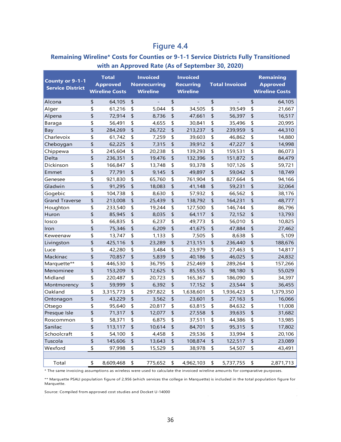# **Figure 4.4**

#### **Remaining Wireline\* Costs for Counties or 9-1-1 Service Districts Fully Transitioned with an Approved Rate (As of September 30, 2020)**

| County or 9-1-1<br><b>Service District</b> | <b>Total</b><br><b>Approved</b><br><b>Wireline Costs</b> | <b>Invoiced</b><br><b>Nonrecurring</b><br><b>Wireline</b> | <b>Invoiced</b><br><b>Recurring</b><br><b>Wireline</b> | <b>Total Invoiced</b> | <b>Remaining</b><br><b>Approved</b><br><b>Wireline Costs</b> |
|--------------------------------------------|----------------------------------------------------------|-----------------------------------------------------------|--------------------------------------------------------|-----------------------|--------------------------------------------------------------|
| Alcona                                     | \$<br>64,105                                             | \$                                                        | \$                                                     | \$                    | \$<br>64,105                                                 |
| Alger                                      | \$<br>61,216                                             | \$<br>5,044                                               | \$<br>34,505                                           | \$<br>39,549          | \$<br>21,667                                                 |
| Alpena                                     | \$<br>72,914                                             | \$<br>8,736                                               | \$<br>47,661                                           | \$<br>56,397          | \$<br>16,517                                                 |
| Baraga                                     | \$<br>56,491                                             | \$<br>4,655                                               | \$<br>30,841                                           | \$<br>35,496          | \$<br>20,995                                                 |
| Bay                                        | \$<br>284,269                                            | \$<br>26,722                                              | \$<br>213,237                                          | \$<br>239,959         | \$<br>44,310                                                 |
| Charlevoix                                 | \$<br>61,742                                             | \$<br>7,259                                               | \$<br>39,603                                           | \$<br>46,862          | \$<br>14,880                                                 |
| Cheboygan                                  | \$<br>62,225                                             | \$<br>7,315                                               | \$<br>39,912                                           | \$<br>47,227          | \$<br>14,998                                                 |
| Chippewa                                   | \$<br>245,604                                            | \$<br>20,238                                              | \$<br>139,293                                          | \$<br>159,531         | \$<br>86,073                                                 |
| Delta                                      | \$<br>236,351                                            | \$<br>19,476                                              | \$<br>132,396                                          | \$<br>151,872         | \$<br>84,479                                                 |
| Dickinson                                  | \$<br>166,847                                            | \$<br>13,748                                              | \$<br>93,378                                           | \$<br>107,126         | \$<br>59,721                                                 |
| Emmet                                      | \$<br>77,791                                             | \$<br>9,145                                               | \$<br>49,897                                           | \$<br>59,042          | \$<br>18,749                                                 |
| Genesee                                    | \$<br>921,830                                            | \$<br>65,760                                              | \$<br>761,904                                          | \$<br>827,664         | \$<br>94,166                                                 |
| Gladwin                                    | \$<br>91,295                                             | \$<br>18,083                                              | \$<br>41,148                                           | \$<br>59,231          | \$<br>32,064                                                 |
| Gogebic                                    | \$<br>104,738                                            | \$<br>8,630                                               | \$<br>57,932                                           | \$<br>66,562          | \$<br>38,176                                                 |
| <b>Grand Traverse</b>                      | \$<br>213,008                                            | \$<br>25,439                                              | \$<br>138,792                                          | \$<br>164,231         | \$<br>48,777                                                 |
| Houghton                                   | \$<br>233,540                                            | \$<br>19,244                                              | \$<br>127,500                                          | \$<br>146,744         | \$<br>86,796                                                 |
| Huron                                      | \$<br>85,945                                             | \$<br>8,035                                               | \$<br>64,117                                           | \$<br>72,152          | \$<br>13,793                                                 |
| losco                                      | \$<br>66,835                                             | \$<br>6,237                                               | \$<br>49,773                                           | \$<br>56,010          | \$<br>10,825                                                 |
| Iron                                       | \$<br>75,346                                             | \$<br>6,209                                               | \$<br>41,675                                           | \$<br>47,884          | \$<br>27,462                                                 |
| Keweenaw                                   | \$<br>13,747                                             | \$<br>1,133                                               | \$<br>7,505                                            | \$<br>8,638           | \$<br>5,109                                                  |
| Livingston                                 | \$<br>425,116                                            | \$<br>23,289                                              | \$<br>213,151                                          | \$<br>236,440         | \$<br>188,676                                                |
| Luce                                       | \$<br>42,280                                             | \$<br>3,484                                               | \$<br>23,979                                           | \$<br>27,463          | \$<br>14,817                                                 |
| Mackinac                                   | \$<br>70,857                                             | \$<br>5,839                                               | \$<br>40,186                                           | \$<br>46,025          | \$<br>24,832                                                 |
| Marquette**                                | \$<br>446,530                                            | \$<br>36,795                                              | \$<br>252,469                                          | \$<br>289,264         | \$<br>157,266                                                |
| Menominee                                  | \$<br>153,209                                            | \$<br>12,625                                              | \$<br>85,555                                           | \$<br>98,180          | \$<br>55,029                                                 |
| Midland                                    | \$<br>220,487                                            | \$<br>20,723                                              | \$<br>165,367                                          | \$<br>186,090         | \$<br>34,397                                                 |
| Montmorency                                | \$<br>59,999                                             | \$<br>6,392                                               | \$<br>17,152                                           | \$<br>23,544          | \$<br>36,455                                                 |
| Oakland                                    | \$<br>3,315,773                                          | \$<br>297,822                                             | \$<br>1,638,601                                        | \$<br>1,936,423       | \$<br>1,379,350                                              |
| Ontonagon                                  | \$<br>43,229                                             | \$<br>3,562                                               | \$<br>23,601                                           | \$<br>27,163          | \$<br>16,066                                                 |
| Otsego                                     | \$<br>95,640                                             | \$<br>20,817                                              | \$<br>63,815                                           | \$<br>84,632          | \$<br>11,008                                                 |
| Presque Isle                               | \$<br>71,317                                             | \$<br>12,077                                              | \$<br>27,558                                           | \$<br>39,635          | \$<br>31,682                                                 |
| Roscommon                                  | \$<br>58,371                                             | \$<br>6,875                                               | \$<br>37,511                                           | \$<br>44,386          | \$<br>13,985                                                 |
| Sanilac                                    | \$<br>113,117                                            | \$<br>10,614                                              | \$<br>84,701                                           | \$<br>95,315          | \$<br>17,802                                                 |
| Schoolcraft                                | \$<br>54,100                                             | \$<br>4,458                                               | \$<br>29,536                                           | \$<br>33,994          | \$<br>20,106                                                 |
| Tuscola                                    | \$<br>145,606                                            | \$<br>13,643                                              | \$<br>108,874                                          | \$<br>122,517         | \$<br>23,089                                                 |
| Wexford                                    | \$<br>97,998                                             | \$<br>15,529                                              | \$<br>38,978                                           | \$<br>54,507          | \$<br>43,491                                                 |
|                                            |                                                          |                                                           |                                                        |                       |                                                              |
| Total                                      | \$<br>8,609,468                                          | \$<br>775,652                                             | \$<br>4,962,103                                        | \$<br>5,737,755       | \$<br>2,871,713                                              |

\* The same invoicing assumptions as wireless were used to calculate the invoiced wireline amounts for comparative purposes.

\*\* Marquette PSALI population figure of 2,956 (which services the college in Marquette) is included in the total population figure for Marquette.

Source: Compiled from approved cost studies and Docket U-14000